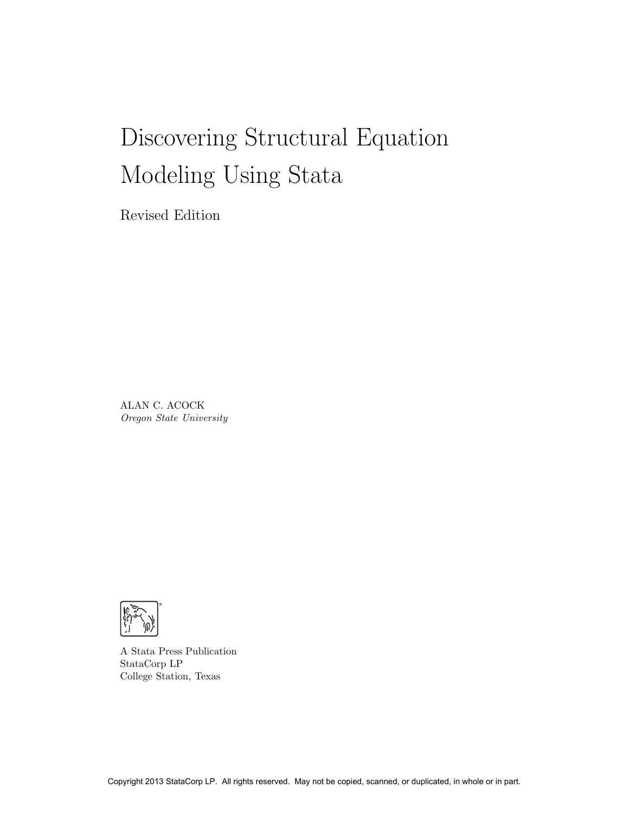# Discovering Structural Equation Modeling Using Stata

Revised Edition

ALAN C. ACOCK Oregon State University



A Stata Press Publication StataCorp LP College Station, Texas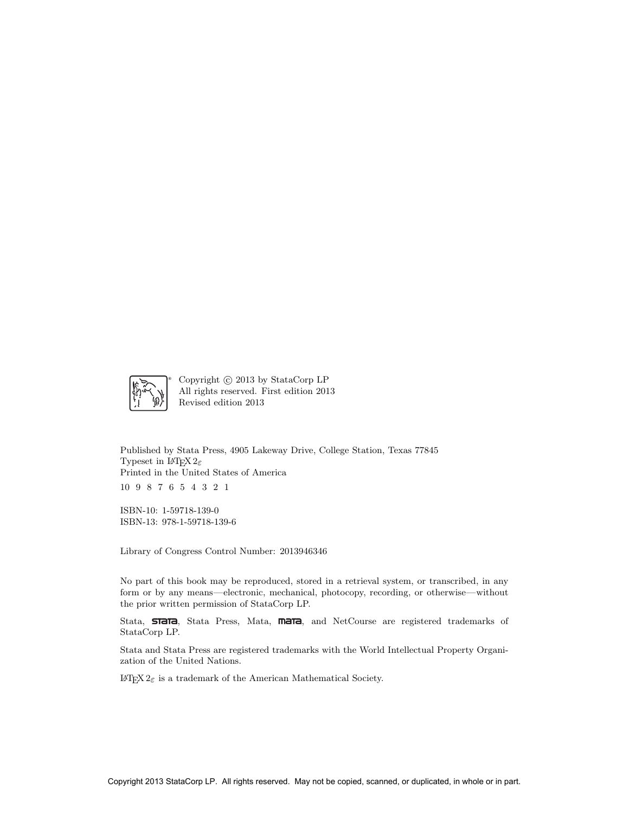

Copyright (c) 2013 by StataCorp LP All rights reserved. First edition 2013 Revised edition 2013

Published by Stata Press, 4905 Lakeway Drive, College Station, Texas 77845 Typeset in L<sup>AT</sup>FX  $2\varepsilon$ Printed in the United States of America 10 9 8 7 6 5 4 3 2 1

ISBN-10: 1-59718-139-0 ISBN-13: 978-1-59718-139-6

Library of Congress Control Number: 2013946346

No part of this book may be reproduced, stored in a retrieval system, or transcribed, in any form or by any means—electronic, mechanical, photocopy, recording, or otherwise—without the prior written permission of StataCorp LP.

Stata, **STaTa**, Stata Press, Mata, **mata**, and NetCourse are registered trademarks of StataCorp LP.

Stata and Stata Press are registered trademarks with the World Intellectual Property Organization of the United Nations.

 $\mathbb{F}\to \mathbb{F}$ 2 $\varepsilon$  is a trademark of the American Mathematical Society.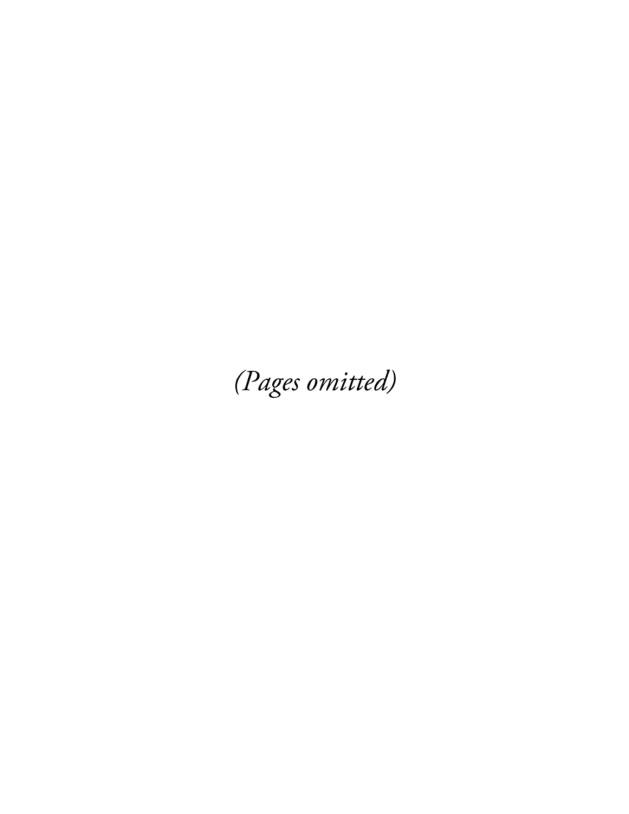(Pages omitted)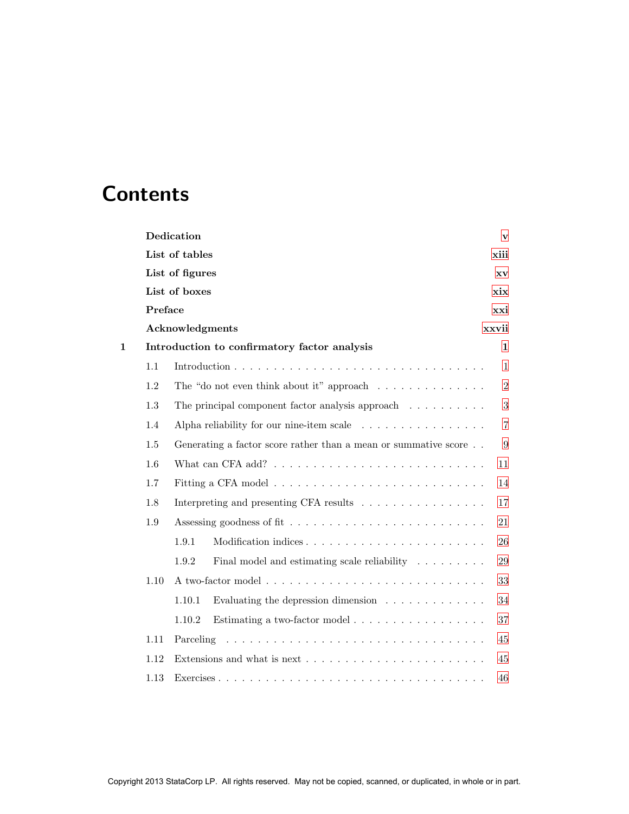## **Contents**

|             | Dedication      |                                                                                |                                                                                                                           |  |  |  |  |  |  |
|-------------|-----------------|--------------------------------------------------------------------------------|---------------------------------------------------------------------------------------------------------------------------|--|--|--|--|--|--|
|             |                 | List of tables                                                                 |                                                                                                                           |  |  |  |  |  |  |
|             | List of figures |                                                                                |                                                                                                                           |  |  |  |  |  |  |
|             |                 | List of boxes                                                                  |                                                                                                                           |  |  |  |  |  |  |
|             | Preface         |                                                                                |                                                                                                                           |  |  |  |  |  |  |
|             |                 | Acknowledgments                                                                |                                                                                                                           |  |  |  |  |  |  |
| $\mathbf 1$ |                 | Introduction to confirmatory factor analysis                                   | $\mathbf 1$                                                                                                               |  |  |  |  |  |  |
|             | 1.1             |                                                                                | 1                                                                                                                         |  |  |  |  |  |  |
|             | 1.2             | The "do not even think about it" approach $\ldots \ldots \ldots \ldots$        | $\overline{2}$                                                                                                            |  |  |  |  |  |  |
|             | 1.3             | The principal component factor analysis approach $\ldots \ldots \ldots$        | 3                                                                                                                         |  |  |  |  |  |  |
|             | 1.4             | Alpha reliability for our nine-item scale $\ldots \ldots \ldots \ldots \ldots$ | $\overline{7}$                                                                                                            |  |  |  |  |  |  |
|             | 1.5             | Generating a factor score rather than a mean or summative score                | 9                                                                                                                         |  |  |  |  |  |  |
|             | 1.6             |                                                                                | $\mathbf{v}$<br>xiii<br>XV<br>xix<br>xxi<br>xxvii<br>11<br>14<br>17<br>21<br>26<br>29<br>33<br>34<br>37<br>45<br>45<br>46 |  |  |  |  |  |  |
|             | 1.7             |                                                                                |                                                                                                                           |  |  |  |  |  |  |
|             | 1.8             | Interpreting and presenting CFA results $\ldots \ldots \ldots \ldots \ldots$   |                                                                                                                           |  |  |  |  |  |  |
|             | 1.9             |                                                                                |                                                                                                                           |  |  |  |  |  |  |
|             |                 | 1.9.1                                                                          |                                                                                                                           |  |  |  |  |  |  |
|             |                 | 1.9.2<br>Final model and estimating scale reliability $\ldots \ldots \ldots$   |                                                                                                                           |  |  |  |  |  |  |
|             | 1.10            |                                                                                |                                                                                                                           |  |  |  |  |  |  |
|             |                 | 1.10.1<br>Evaluating the depression dimension $\ldots \ldots \ldots \ldots$    |                                                                                                                           |  |  |  |  |  |  |
|             |                 | 1.10.2<br>Estimating a two-factor model $\ldots \ldots \ldots \ldots \ldots$   |                                                                                                                           |  |  |  |  |  |  |
|             | 1.11            | Parceling                                                                      |                                                                                                                           |  |  |  |  |  |  |
|             | 1.12            |                                                                                |                                                                                                                           |  |  |  |  |  |  |
|             | 1.13            |                                                                                |                                                                                                                           |  |  |  |  |  |  |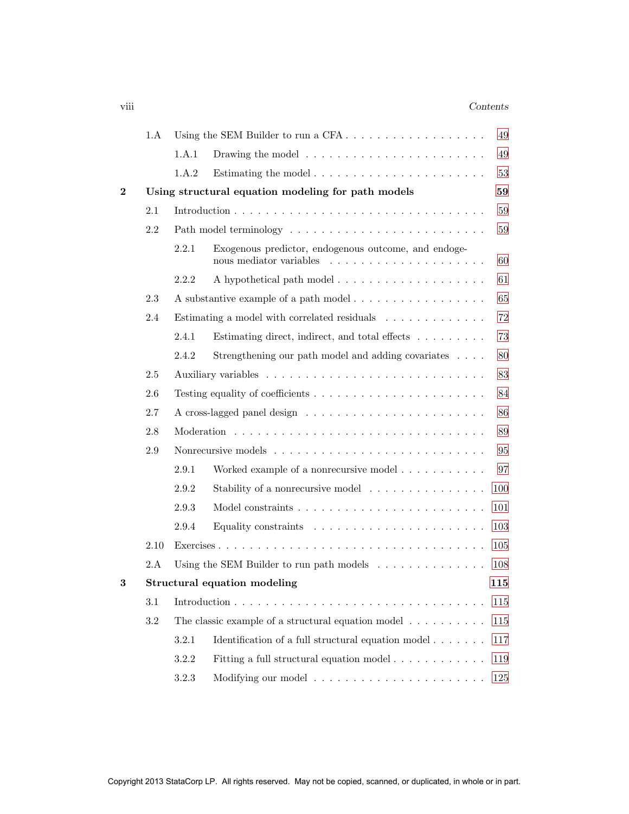### viii Contents

|          | 1.A     |              |                                                                            |        |  |  |  |  |  |
|----------|---------|--------------|----------------------------------------------------------------------------|--------|--|--|--|--|--|
|          |         | 1.A.1        | Drawing the model $\ldots \ldots \ldots \ldots \ldots \ldots \ldots$       |        |  |  |  |  |  |
|          |         | 1.A.2        | Estimating the model                                                       | 53     |  |  |  |  |  |
| $\bf{2}$ |         |              | Using structural equation modeling for path models                         | 59     |  |  |  |  |  |
|          | 2.1     |              |                                                                            | 59     |  |  |  |  |  |
|          | 2.2     |              |                                                                            | $59\,$ |  |  |  |  |  |
|          |         | 2.2.1        | Exogenous predictor, endogenous outcome, and endoge-                       | 60     |  |  |  |  |  |
|          |         | 2.2.2        |                                                                            | 61     |  |  |  |  |  |
|          | 2.3     |              | A substantive example of a path model                                      | 65     |  |  |  |  |  |
|          | 2.4     |              | Estimating a model with correlated residuals $\ldots \ldots \ldots \ldots$ | 72     |  |  |  |  |  |
|          |         | 2.4.1        | Estimating direct, indirect, and total effects                             | 73     |  |  |  |  |  |
|          |         | 2.4.2        | Strengthening our path model and adding covariates                         | 80     |  |  |  |  |  |
|          | 2.5     |              |                                                                            | 83     |  |  |  |  |  |
|          | 2.6     |              |                                                                            | 84     |  |  |  |  |  |
|          | 2.7     |              |                                                                            | 86     |  |  |  |  |  |
|          | 2.8     |              |                                                                            | 89     |  |  |  |  |  |
|          | 2.9     |              |                                                                            | 95     |  |  |  |  |  |
|          |         | 2.9.1        | Worked example of a nonrecursive model $\ldots \ldots \ldots$              | 97     |  |  |  |  |  |
|          |         | 2.9.2        | Stability of a nonrecursive model                                          | 100    |  |  |  |  |  |
|          |         | 2.9.3        |                                                                            | 101    |  |  |  |  |  |
|          |         | 2.9.4        |                                                                            | 103    |  |  |  |  |  |
|          | 2.10    |              |                                                                            | 105    |  |  |  |  |  |
|          | 2.A     |              | Using the SEM Builder to run path models $\ldots \ldots \ldots \ldots$     | 108    |  |  |  |  |  |
| 3        |         |              | Structural equation modeling                                               | 115    |  |  |  |  |  |
|          | 3.1     |              |                                                                            | 115    |  |  |  |  |  |
|          | $3.2\,$ |              | The classic example of a structural equation model $\ldots \ldots \ldots$  | 115    |  |  |  |  |  |
|          |         | 3.2.1        | Identification of a full structural equation model $\ldots \ldots$         | 117    |  |  |  |  |  |
|          |         | 3.2.2        | Fitting a full structural equation model                                   | 119    |  |  |  |  |  |
|          |         | 3.2.3<br>125 |                                                                            |        |  |  |  |  |  |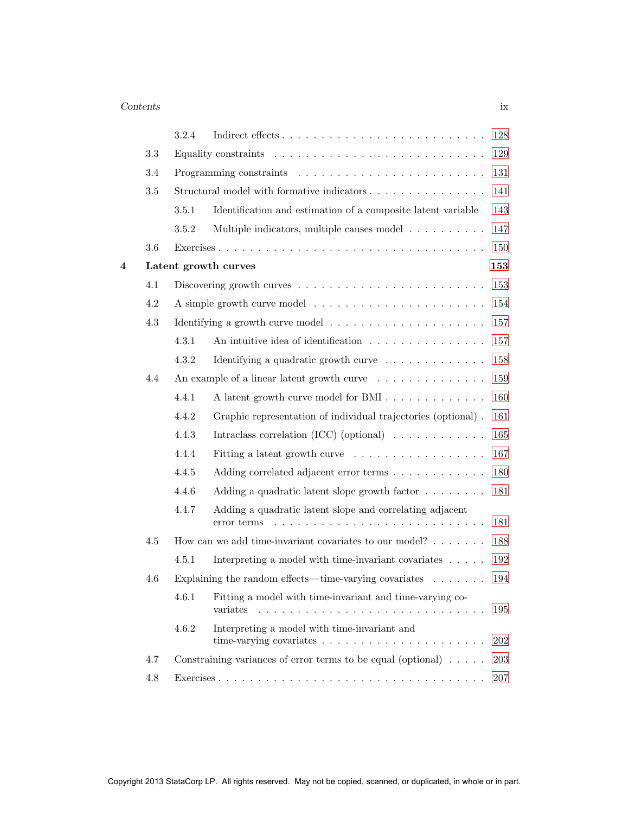### Contents ix

|   |         | 3.2.4 |                                                                                              | 128 |
|---|---------|-------|----------------------------------------------------------------------------------------------|-----|
|   | 3.3     |       |                                                                                              | 129 |
|   | 3.4     |       |                                                                                              | 131 |
|   | $3.5\,$ |       |                                                                                              | 141 |
|   |         | 3.5.1 | Identification and estimation of a composite latent variable                                 | 143 |
|   |         | 3.5.2 | Multiple indicators, multiple causes model                                                   | 147 |
|   | 3.6     |       |                                                                                              | 150 |
| 4 |         |       | Latent growth curves                                                                         | 153 |
|   | 4.1     |       |                                                                                              | 153 |
|   | 4.2     |       |                                                                                              | 154 |
|   | 4.3     |       |                                                                                              | 157 |
|   |         | 4.3.1 | An intuitive idea of identification $\ldots \ldots \ldots \ldots \ldots$                     | 157 |
|   |         | 4.3.2 | Identifying a quadratic growth curve                                                         | 158 |
|   | 4.4     |       | An example of a linear latent growth curve $\dots \dots \dots \dots$                         | 159 |
|   |         | 4.4.1 | A latent growth curve model for BMI                                                          | 160 |
|   |         | 4.4.2 | Graphic representation of individual trajectories (optional).                                | 161 |
|   |         | 4.4.3 | Intraclass correlation (ICC) (optional) $\ldots \ldots \ldots \ldots$                        | 165 |
|   |         | 4.4.4 | Fitting a latent growth curve                                                                | 167 |
|   |         | 4.4.5 | Adding correlated adjacent error terms                                                       | 180 |
|   |         | 4.4.6 | Adding a quadratic latent slope growth factor $\dots \dots$                                  | 181 |
|   |         | 4.4.7 | Adding a quadratic latent slope and correlating adjacent<br>error terms<br>.                 | 181 |
|   | 4.5     |       | How can we add time-invariant covariates to our model? $\dots \dots$                         | 188 |
|   |         | 4.5.1 | Interpreting a model with time-invariant covariates                                          | 192 |
|   | 4.6     |       | Explaining the random effects—time-varying covariates $\ldots \ldots$                        | 194 |
|   |         | 4.6.1 | Fitting a model with time-invariant and time-varying co-<br>variates<br>.<br>.<br>and a con- | 195 |
|   |         | 4.6.2 | Interpreting a model with time-invariant and                                                 | 202 |
|   | 4.7     |       | Constraining variances of error terms to be equal (optional) $\ldots$ .                      | 203 |
|   | 4.8     |       |                                                                                              | 207 |
|   |         |       |                                                                                              |     |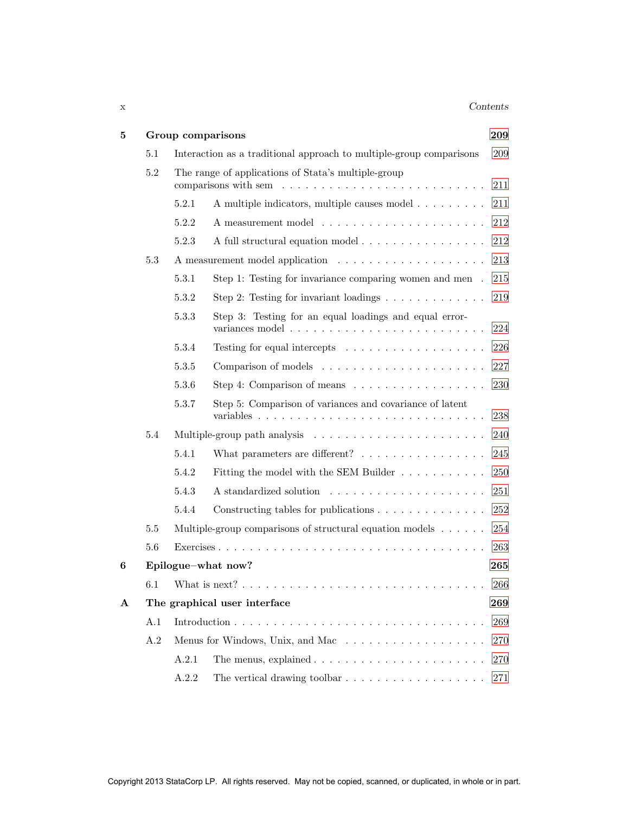x Contents

| 5 | Group comparisons                                                                             |                                                                     |                                                                              |         |  |  |  |
|---|-----------------------------------------------------------------------------------------------|---------------------------------------------------------------------|------------------------------------------------------------------------------|---------|--|--|--|
|   | 5.1                                                                                           | Interaction as a traditional approach to multiple-group comparisons |                                                                              |         |  |  |  |
|   | 5.2<br>The range of applications of Stata's multiple-group<br>comparisons with sem $\ldots$ . |                                                                     |                                                                              |         |  |  |  |
|   |                                                                                               | 5.2.1                                                               | A multiple indicators, multiple causes model                                 | 211     |  |  |  |
|   |                                                                                               | 5.2.2                                                               |                                                                              | 212     |  |  |  |
|   |                                                                                               | 5.2.3                                                               | A full structural equation model                                             | 212     |  |  |  |
|   | 5.3                                                                                           |                                                                     |                                                                              | 213     |  |  |  |
|   |                                                                                               | 5.3.1                                                               | Step 1: Testing for invariance comparing women and men.                      | 215     |  |  |  |
|   |                                                                                               | 5.3.2                                                               | Step 2: Testing for invariant loadings $\dots \dots \dots \dots$             | 219     |  |  |  |
|   |                                                                                               | 5.3.3                                                               | Step 3: Testing for an equal loadings and equal error-                       | 224     |  |  |  |
|   |                                                                                               | 5.3.4                                                               | Testing for equal intercepts $\ldots \ldots \ldots \ldots \ldots \ldots$     | 226     |  |  |  |
|   |                                                                                               | 5.3.5                                                               |                                                                              | 227     |  |  |  |
|   |                                                                                               | 5.3.6                                                               | Step 4: Comparison of means                                                  | 230     |  |  |  |
|   |                                                                                               | 5.3.7                                                               | Step 5: Comparison of variances and covariance of latent                     | 238     |  |  |  |
|   | 5.4                                                                                           |                                                                     |                                                                              | 240     |  |  |  |
|   |                                                                                               | 5.4.1                                                               | What parameters are different? $\ldots \ldots \ldots \ldots \ldots$          | 245     |  |  |  |
|   |                                                                                               | 5.4.2                                                               | Fitting the model with the SEM Builder                                       | 250     |  |  |  |
|   |                                                                                               | 5.4.3                                                               |                                                                              | $251\,$ |  |  |  |
|   |                                                                                               | 5.4.4                                                               | Constructing tables for publications $\ldots \ldots \ldots \ldots \ldots$    | 252     |  |  |  |
|   | $5.5\,$                                                                                       |                                                                     | Multiple-group comparisons of structural equation models                     | 254     |  |  |  |
|   | $5.6\,$                                                                                       |                                                                     |                                                                              | 263     |  |  |  |
| 6 |                                                                                               |                                                                     | Epilogue-what now?                                                           | 265     |  |  |  |
|   | 6.1                                                                                           |                                                                     |                                                                              | 266     |  |  |  |
| A |                                                                                               |                                                                     | The graphical user interface                                                 | 269     |  |  |  |
|   | A.1                                                                                           |                                                                     |                                                                              | 269     |  |  |  |
|   | A.2                                                                                           |                                                                     | Menus for Windows, Unix, and Mac $\ldots \ldots \ldots \ldots \ldots \ldots$ | 270     |  |  |  |
|   |                                                                                               | A.2.1                                                               | The menus, explained $\ldots \ldots \ldots \ldots \ldots \ldots \ldots$      | 270     |  |  |  |
|   |                                                                                               | A.2.2                                                               | The vertical drawing toolbar $\dots \dots \dots \dots \dots \dots \dots$     | 271     |  |  |  |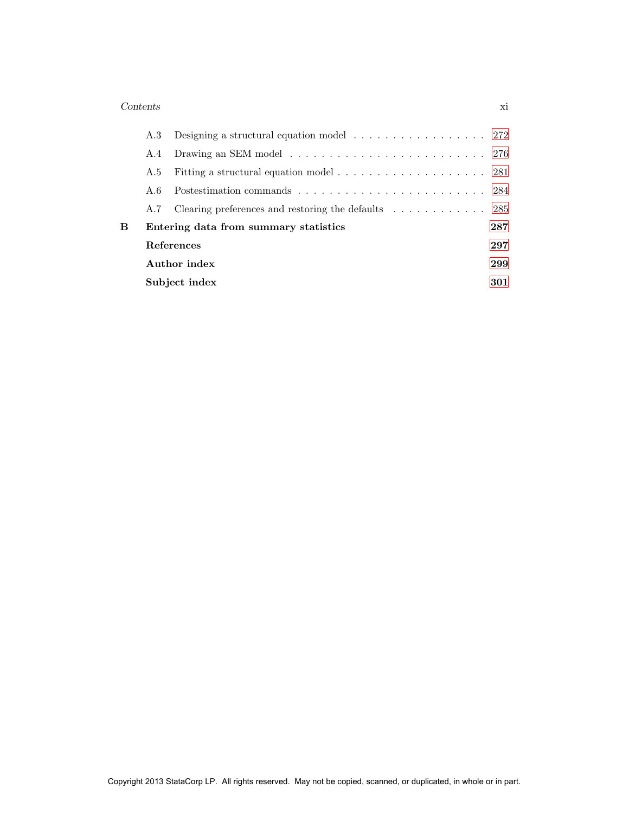### Contents xi

|   | A.3    | Designing a structural equation model $\dots \dots \dots \dots \dots \dots \dots$ 272     |     |
|---|--------|-------------------------------------------------------------------------------------------|-----|
|   | A.4    | Drawing an SEM model $\ldots \ldots \ldots \ldots \ldots \ldots \ldots \ldots \ldots 276$ |     |
|   | A.5    |                                                                                           |     |
|   | A. $6$ |                                                                                           |     |
|   | A.7    | Clearing preferences and restoring the defaults $\dots \dots \dots \dots$ 285             |     |
| B |        | Entering data from summary statistics                                                     | 287 |
|   |        | <b>References</b>                                                                         | 297 |
|   |        | Author index                                                                              | 299 |
|   |        | Subject index                                                                             | 301 |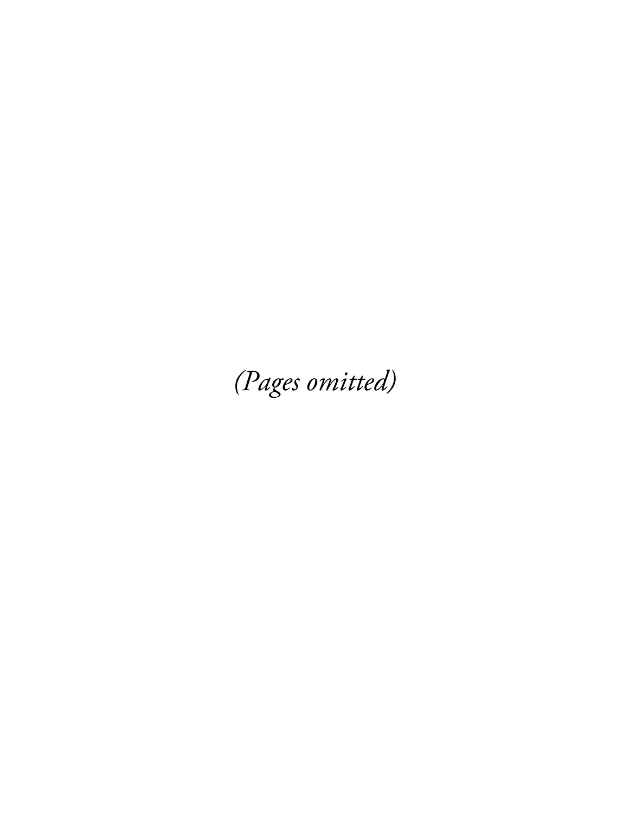(Pages omitted)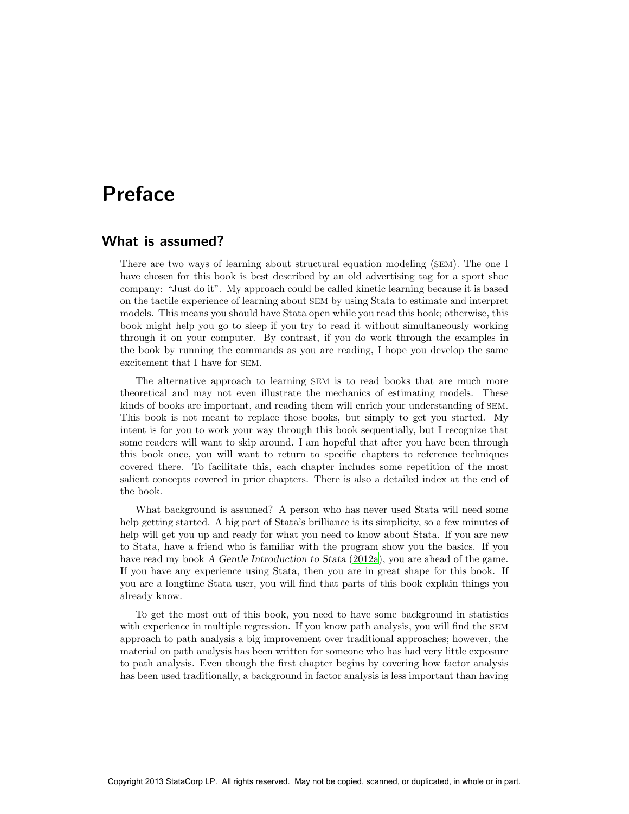### Preface

### What is assumed?

There are two ways of learning about structural equation modeling (SEM). The one I have chosen for this book is best described by an old advertising tag for a sport shoe company: "Just do it". My approach could be called kinetic learning because it is based on the tactile experience of learning about SEM by using Stata to estimate and interpret models. This means you should have Stata open while you read this book; otherwise, this book might help you go to sleep if you try to read it without simultaneously working through it on your computer. By contrast, if you do work through the examples in the book by running the commands as you are reading, I hope you develop the same excitement that I have for SEM.

The alternative approach to learning SEM is to read books that are much more theoretical and may not even illustrate the mechanics of estimating models. These kinds of books are important, and reading them will enrich your understanding of SEM. This book is not meant to replace those books, but simply to get you started. My intent is for you to work your way through this book sequentially, but I recognize that some readers will want to skip around. I am hopeful that after you have been through this book once, you will want to return to specific chapters to reference techniques covered there. To facilitate this, each chapter includes some repetition of the most salient concepts covered in prior chapters. There is also a detailed index at the end of the book.

What background is assumed? A person who has never used Stata will need some help getting started. A big part of Stata's brilliance is its simplicity, so a few minutes of help will get you up and ready for what you need to know about Stata. If you are new to Stata, have a friend who is familiar with the program show you the basics. If you have read my book A Gentle Introduction to Stata (2012a), you are ahead of the game. If you have any experience using Stata, then you are in great shape for this book. If you are a longtime Stata user, you will find that parts of this book explain things you already know.

To get the most out of this book, you need to have some background in statistics with experience in multiple regression. If you know path analysis, you will find the SEM approach to path analysis a big improvement over traditional approaches; however, the material on path analysis has been written for someone who has had very little exposure to path analysis. Even though the first chapter begins by covering how factor analysis has been used traditionally, a background in factor analysis is less important than having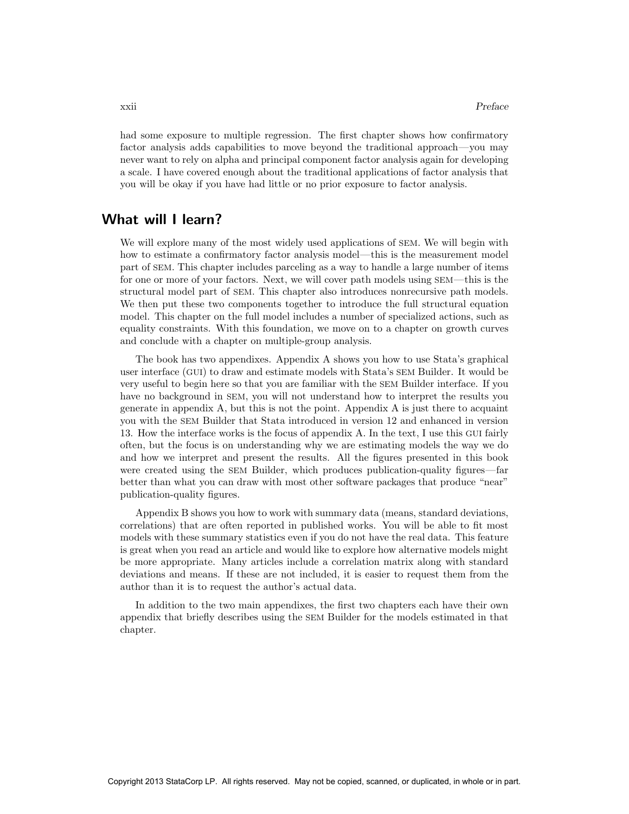had some exposure to multiple regression. The first chapter shows how confirmatory factor analysis adds capabilities to move beyond the traditional approach—you may never want to rely on alpha and principal component factor analysis again for developing a scale. I have covered enough about the traditional applications of factor analysis that you will be okay if you have had little or no prior exposure to factor analysis.

### What will I learn?

We will explore many of the most widely used applications of SEM. We will begin with how to estimate a confirmatory factor analysis model—this is the measurement model part of SEM. This chapter includes parceling as a way to handle a large number of items for one or more of your factors. Next, we will cover path models using SEM—this is the structural model part of SEM. This chapter also introduces nonrecursive path models. We then put these two components together to introduce the full structural equation model. This chapter on the full model includes a number of specialized actions, such as equality constraints. With this foundation, we move on to a chapter on growth curves and conclude with a chapter on multiple-group analysis.

The book has two appendixes. Appendix A shows you how to use Stata's graphical user interface (GUI) to draw and estimate models with Stata's SEM Builder. It would be very useful to begin here so that you are familiar with the SEM Builder interface. If you have no background in SEM, you will not understand how to interpret the results you generate in appendix A, but this is not the point. Appendix A is just there to acquaint you with the SEM Builder that Stata introduced in version 12 and enhanced in version 13. How the interface works is the focus of appendix A. In the text, I use this GUI fairly often, but the focus is on understanding why we are estimating models the way we do and how we interpret and present the results. All the figures presented in this book were created using the SEM Builder, which produces publication-quality figures—far better than what you can draw with most other software packages that produce "near" publication-quality figures.

Appendix B shows you how to work with summary data (means, standard deviations, correlations) that are often reported in published works. You will be able to fit most models with these summary statistics even if you do not have the real data. This feature is great when you read an article and would like to explore how alternative models might be more appropriate. Many articles include a correlation matrix along with standard deviations and means. If these are not included, it is easier to request them from the author than it is to request the author's actual data.

In addition to the two main appendixes, the first two chapters each have their own appendix that briefly describes using the SEM Builder for the models estimated in that chapter.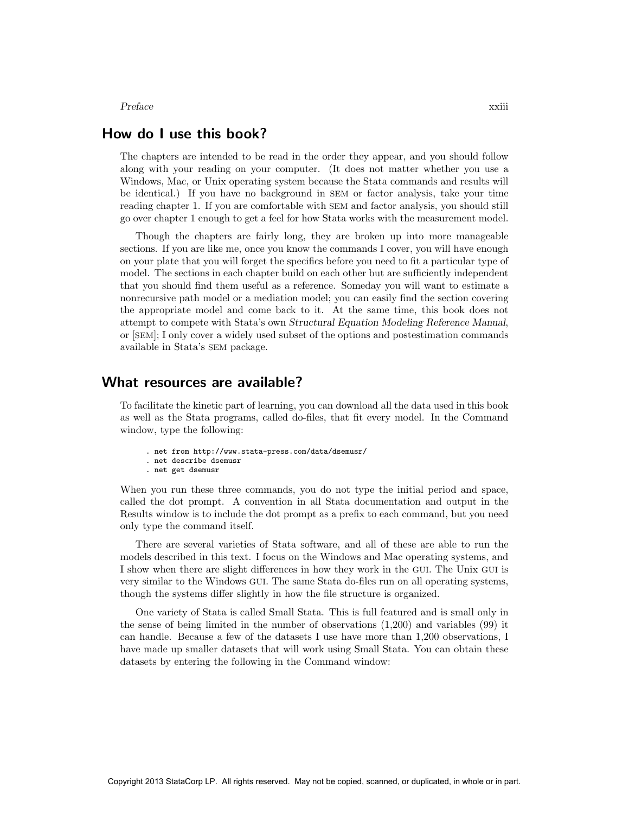Preface xxiii

### How do I use this book?

The chapters are intended to be read in the order they appear, and you should follow along with your reading on your computer. (It does not matter whether you use a Windows, Mac, or Unix operating system because the Stata commands and results will be identical.) If you have no background in SEM or factor analysis, take your time reading chapter 1. If you are comfortable with SEM and factor analysis, you should still go over chapter 1 enough to get a feel for how Stata works with the measurement model.

Though the chapters are fairly long, they are broken up into more manageable sections. If you are like me, once you know the commands I cover, you will have enough on your plate that you will forget the specifics before you need to fit a particular type of model. The sections in each chapter build on each other but are sufficiently independent that you should find them useful as a reference. Someday you will want to estimate a nonrecursive path model or a mediation model; you can easily find the section covering the appropriate model and come back to it. At the same time, this book does not attempt to compete with Stata's own Structural Equation Modeling Reference Manual, or [SEM]; I only cover a widely used subset of the options and postestimation commands available in Stata's SEM package.

### What resources are available?

To facilitate the kinetic part of learning, you can download all the data used in this book as well as the Stata programs, called do-files, that fit every model. In the Command window, type the following:

```
. net from http://www.stata-press.com/data/dsemusr/
```

```
. net describe dsemusr
```

```
. net get dsemusr
```
When you run these three commands, you do not type the initial period and space, called the dot prompt. A convention in all Stata documentation and output in the Results window is to include the dot prompt as a prefix to each command, but you need only type the command itself.

There are several varieties of Stata software, and all of these are able to run the models described in this text. I focus on the Windows and Mac operating systems, and I show when there are slight differences in how they work in the GUI. The Unix GUI is very similar to the Windows GUI. The same Stata do-files run on all operating systems, though the systems differ slightly in how the file structure is organized.

One variety of Stata is called Small Stata. This is full featured and is small only in the sense of being limited in the number of observations (1,200) and variables (99) it can handle. Because a few of the datasets I use have more than 1,200 observations, I have made up smaller datasets that will work using Small Stata. You can obtain these datasets by entering the following in the Command window: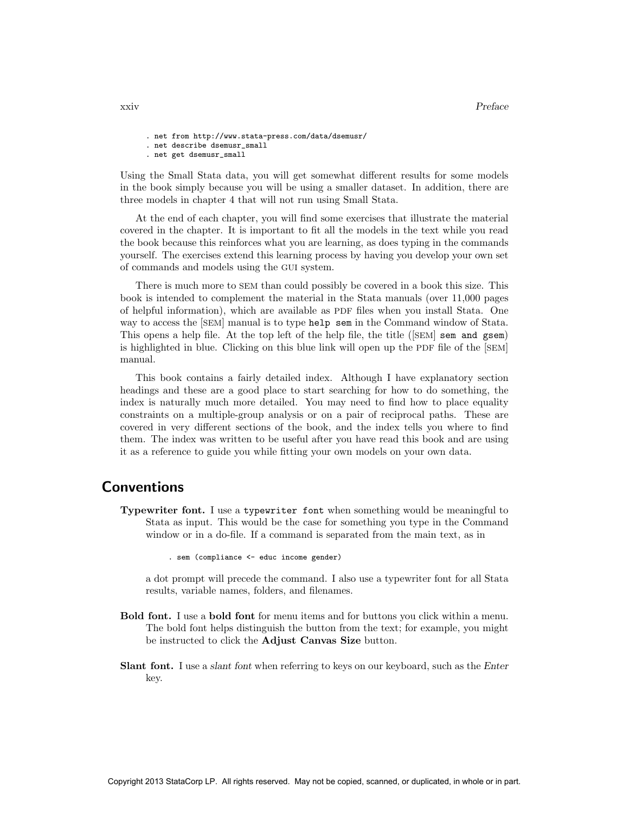```
. net from http://www.stata-press.com/data/dsemusr/
. net describe dsemusr_small
. net get dsemusr_small
```
Using the Small Stata data, you will get somewhat different results for some models in the book simply because you will be using a smaller dataset. In addition, there are three models in chapter 4 that will not run using Small Stata.

At the end of each chapter, you will find some exercises that illustrate the material covered in the chapter. It is important to fit all the models in the text while you read the book because this reinforces what you are learning, as does typing in the commands yourself. The exercises extend this learning process by having you develop your own set of commands and models using the GUI system.

There is much more to SEM than could possibly be covered in a book this size. This book is intended to complement the material in the Stata manuals (over 11,000 pages of helpful information), which are available as PDF files when you install Stata. One way to access the [SEM] manual is to type help sem in the Command window of Stata. This opens a help file. At the top left of the help file, the title ([SEM] sem and gsem) is highlighted in blue. Clicking on this blue link will open up the PDF file of the [SEM] manual.

This book contains a fairly detailed index. Although I have explanatory section headings and these are a good place to start searching for how to do something, the index is naturally much more detailed. You may need to find how to place equality constraints on a multiple-group analysis or on a pair of reciprocal paths. These are covered in very different sections of the book, and the index tells you where to find them. The index was written to be useful after you have read this book and are using it as a reference to guide you while fitting your own models on your own data.

### **Conventions**

Typewriter font. I use a typewriter font when something would be meaningful to Stata as input. This would be the case for something you type in the Command window or in a do-file. If a command is separated from the main text, as in

. sem (compliance <- educ income gender)

a dot prompt will precede the command. I also use a typewriter font for all Stata results, variable names, folders, and filenames.

- Bold font. I use a bold font for menu items and for buttons you click within a menu. The bold font helps distinguish the button from the text; for example, you might be instructed to click the Adjust Canvas Size button.
- Slant font. I use a slant font when referring to keys on our keyboard, such as the Enter key.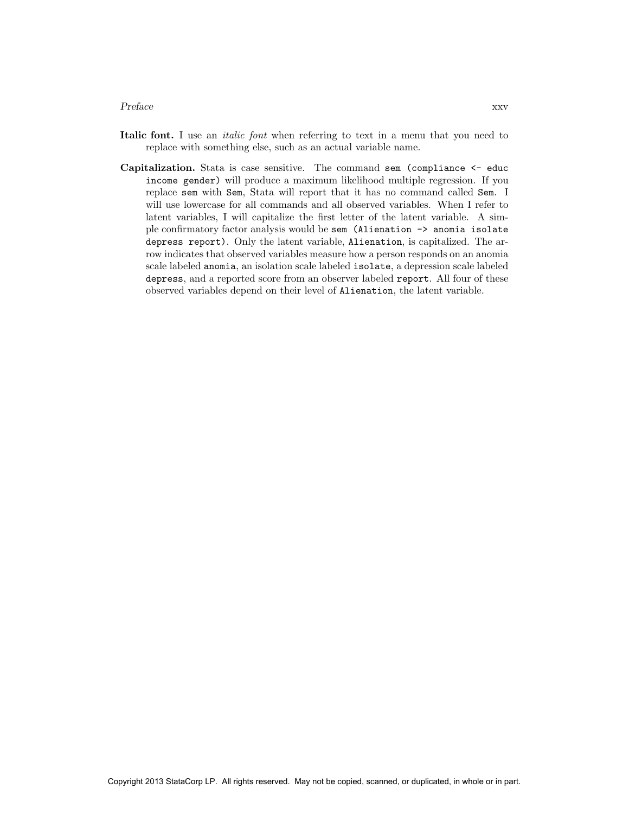### Preface xxv

- 
- Italic font. I use an *italic font* when referring to text in a menu that you need to replace with something else, such as an actual variable name.
- Capitalization. Stata is case sensitive. The command sem (compliance <- educ income gender) will produce a maximum likelihood multiple regression. If you replace sem with Sem, Stata will report that it has no command called Sem. I will use lowercase for all commands and all observed variables. When I refer to latent variables, I will capitalize the first letter of the latent variable. A simple confirmatory factor analysis would be sem (Alienation -> anomia isolate depress report). Only the latent variable, Alienation, is capitalized. The arrow indicates that observed variables measure how a person responds on an anomia scale labeled anomia, an isolation scale labeled isolate, a depression scale labeled depress, and a reported score from an observer labeled report. All four of these observed variables depend on their level of Alienation, the latent variable.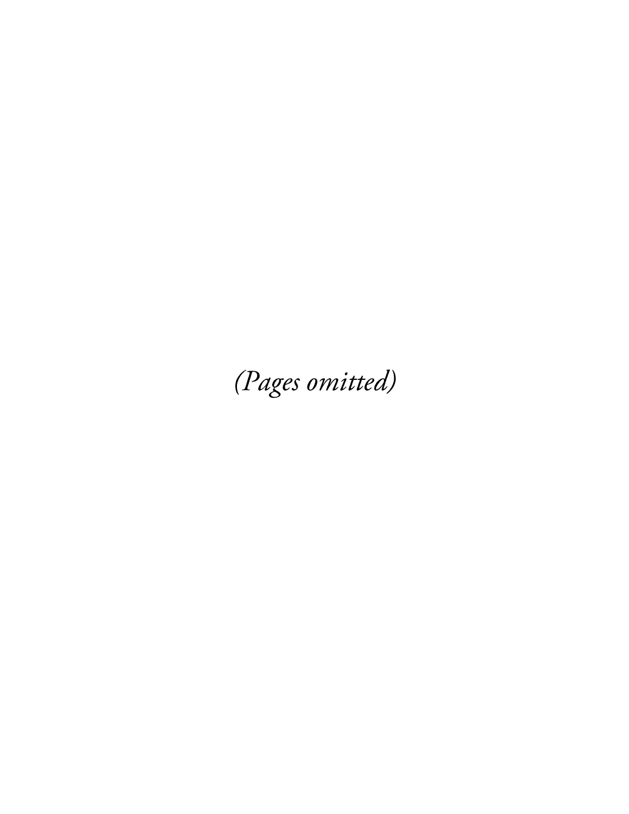(Pages omitted)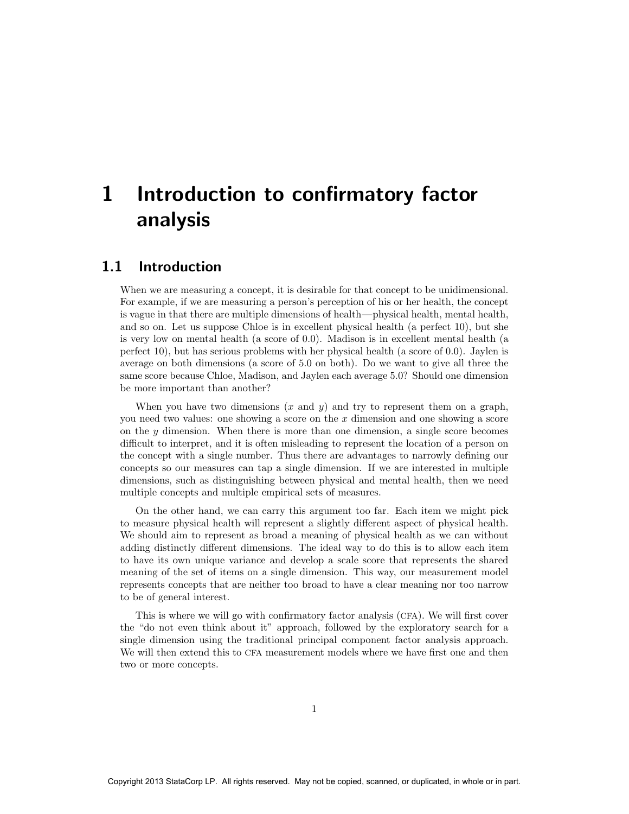## 1 Introduction to confirmatory factor analysis

### 1.1 Introduction

When we are measuring a concept, it is desirable for that concept to be unidimensional. For example, if we are measuring a person's perception of his or her health, the concept is vague in that there are multiple dimensions of health—physical health, mental health, and so on. Let us suppose Chloe is in excellent physical health (a perfect 10), but she is very low on mental health (a score of 0.0). Madison is in excellent mental health (a perfect 10), but has serious problems with her physical health (a score of 0.0). Jaylen is average on both dimensions (a score of 5.0 on both). Do we want to give all three the same score because Chloe, Madison, and Jaylen each average 5.0? Should one dimension be more important than another?

When you have two dimensions  $(x \text{ and } y)$  and try to represent them on a graph, you need two values: one showing a score on the  $x$  dimension and one showing a score on the  $\gamma$  dimension. When there is more than one dimension, a single score becomes difficult to interpret, and it is often misleading to represent the location of a person on the concept with a single number. Thus there are advantages to narrowly defining our concepts so our measures can tap a single dimension. If we are interested in multiple dimensions, such as distinguishing between physical and mental health, then we need multiple concepts and multiple empirical sets of measures.

On the other hand, we can carry this argument too far. Each item we might pick to measure physical health will represent a slightly different aspect of physical health. We should aim to represent as broad a meaning of physical health as we can without adding distinctly different dimensions. The ideal way to do this is to allow each item to have its own unique variance and develop a scale score that represents the shared meaning of the set of items on a single dimension. This way, our measurement model represents concepts that are neither too broad to have a clear meaning nor too narrow to be of general interest.

This is where we will go with confirmatory factor analysis (CFA). We will first cover the "do not even think about it" approach, followed by the exploratory search for a single dimension using the traditional principal component factor analysis approach. We will then extend this to CFA measurement models where we have first one and then two or more concepts.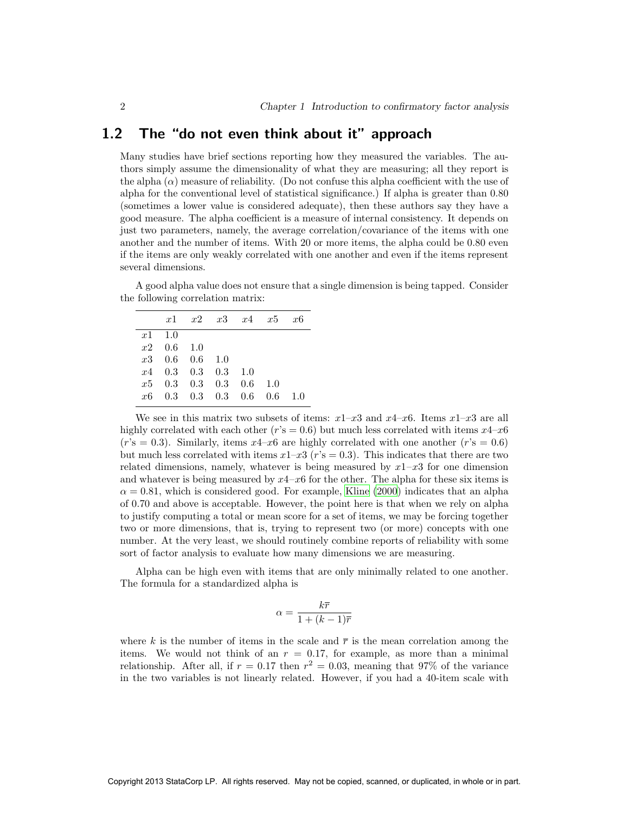### 1.2 The "do not even think about it" approach

Many studies have brief sections reporting how they measured the variables. The authors simply assume the dimensionality of what they are measuring; all they report is the alpha  $(\alpha)$  measure of reliability. (Do not confuse this alpha coefficient with the use of alpha for the conventional level of statistical significance.) If alpha is greater than 0.80 (sometimes a lower value is considered adequate), then these authors say they have a good measure. The alpha coefficient is a measure of internal consistency. It depends on just two parameters, namely, the average correlation/covariance of the items with one another and the number of items. With 20 or more items, the alpha could be 0.80 even if the items are only weakly correlated with one another and even if the items represent several dimensions.

A good alpha value does not ensure that a single dimension is being tapped. Consider the following correlation matrix:

|                                              |  | $x1 \quad x2 \quad x3 \quad x4 \quad x5$ | x6 |
|----------------------------------------------|--|------------------------------------------|----|
| $x1 \quad 1.0$                               |  |                                          |    |
| $x2 \quad 0.6 \quad 1.0$                     |  |                                          |    |
| $x3 \t0.6 \t0.6 \t1.0$                       |  |                                          |    |
| $x4 \quad 0.3 \quad 0.3 \quad 0.3 \quad 1.0$ |  |                                          |    |
| $x5 \t0.3 \t0.3 \t0.3 \t0.6 \t1.0$           |  |                                          |    |
|                                              |  | $x6$ 0.3 0.3 0.3 0.6 0.6 1.0             |    |

We see in this matrix two subsets of items:  $x1-x3$  and  $x4-x6$ . Items  $x1-x3$  are all highly correlated with each other ( $r$ 's = 0.6) but much less correlated with items  $x$ 4– $x$ 6  $(r's = 0.3)$ . Similarly, items  $x4-x6$  are highly correlated with one another  $(r's = 0.6)$ but much less correlated with items  $x1-x3$  (r's = 0.3). This indicates that there are two related dimensions, namely, whatever is being measured by  $x1-x3$  for one dimension and whatever is being measured by  $x4-x6$  for the other. The alpha for these six items is  $\alpha = 0.81$ , which is considered good. For example, Kline (2000) indicates that an alpha of 0.70 and above is acceptable. However, the point here is that when we rely on alpha to justify computing a total or mean score for a set of items, we may be forcing together two or more dimensions, that is, trying to represent two (or more) concepts with one number. At the very least, we should routinely combine reports of reliability with some sort of factor analysis to evaluate how many dimensions we are measuring.

Alpha can be high even with items that are only minimally related to one another. The formula for a standardized alpha is

$$
\alpha = \frac{k\overline{r}}{1 + (k-1)\overline{r}}
$$

where k is the number of items in the scale and  $\bar{r}$  is the mean correlation among the items. We would not think of an  $r = 0.17$ , for example, as more than a minimal relationship. After all, if  $r = 0.17$  then  $r^2 = 0.03$ , meaning that 97% of the variance in the two variables is not linearly related. However, if you had a 40-item scale with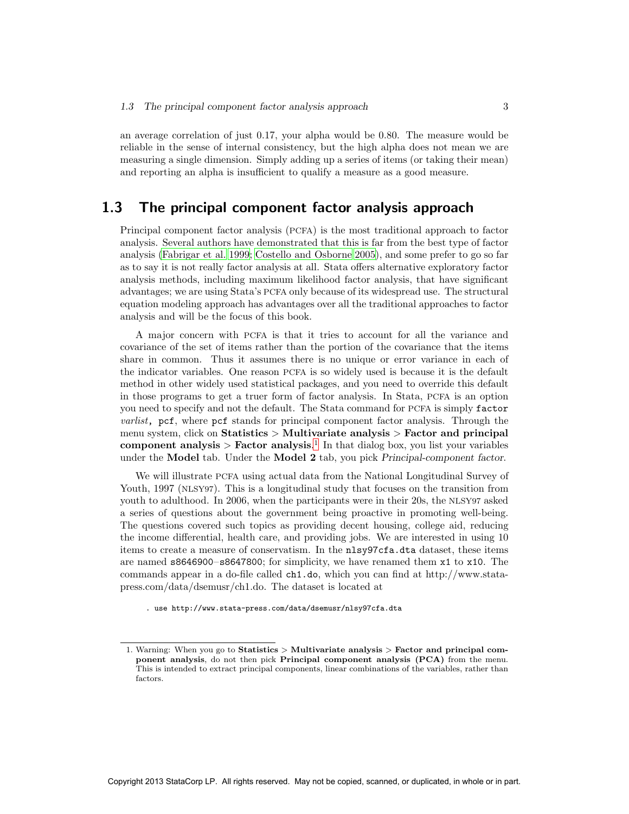an average correlation of just 0.17, your alpha would be 0.80. The measure would be reliable in the sense of internal consistency, but the high alpha does not mean we are measuring a single dimension. Simply adding up a series of items (or taking their mean) and reporting an alpha is insufficient to qualify a measure as a good measure.

### 1.3 The principal component factor analysis approach

Principal component factor analysis (PCFA) is the most traditional approach to factor analysis. Several authors have demonstrated that this is far from the best type of factor analysis (Fabrigar et al. 1999; Costello and Osborne 2005), and some prefer to go so far as to say it is not really factor analysis at all. Stata offers alternative exploratory factor analysis methods, including maximum likelihood factor analysis, that have significant advantages; we are using Stata's PCFA only because of its widespread use. The structural equation modeling approach has advantages over all the traditional approaches to factor analysis and will be the focus of this book.

A major concern with PCFA is that it tries to account for all the variance and covariance of the set of items rather than the portion of the covariance that the items share in common. Thus it assumes there is no unique or error variance in each of the indicator variables. One reason PCFA is so widely used is because it is the default method in other widely used statistical packages, and you need to override this default in those programs to get a truer form of factor analysis. In Stata, PCFA is an option you need to specify and not the default. The Stata command for PCFA is simply factor varlist, pcf, where pcf stands for principal component factor analysis. Through the menu system, click on Statistics  $>$  Multivariate analysis  $>$  Factor and principal component analysis > Factor analysis.<sup>1</sup> In that dialog box, you list your variables under the Model tab. Under the Model 2 tab, you pick Principal-component factor.

We will illustrate PCFA using actual data from the National Longitudinal Survey of Youth, 1997 (NLSY97). This is a longitudinal study that focuses on the transition from youth to adulthood. In 2006, when the participants were in their 20s, the NLSY97 asked a series of questions about the government being proactive in promoting well-being. The questions covered such topics as providing decent housing, college aid, reducing the income differential, health care, and providing jobs. We are interested in using 10 items to create a measure of conservatism. In the nlsy97cfa.dta dataset, these items are named s8646900–s8647800; for simplicity, we have renamed them x1 to x10. The commands appear in a do-file called ch1.do, which you can find at http://www.statapress.com/data/dsemusr/ch1.do. The dataset is located at

. use http://www.stata-press.com/data/dsemusr/nlsy97cfa.dta

<sup>1.</sup> Warning: When you go to Statistics > Multivariate analysis > Factor and principal component analysis, do not then pick Principal component analysis (PCA) from the menu. This is intended to extract principal components, linear combinations of the variables, rather than factors.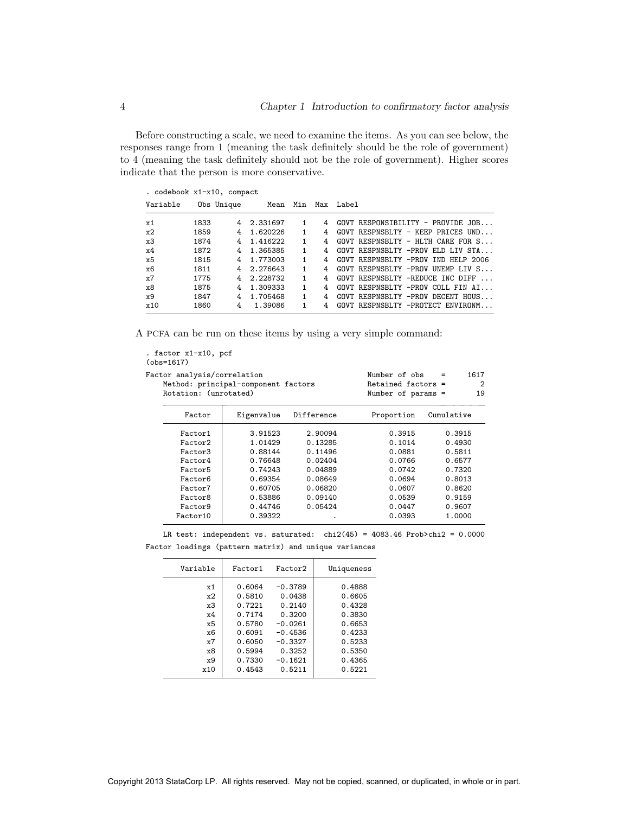Before constructing a scale, we need to examine the items. As you can see below, the responses range from 1 (meaning the task definitely should be the role of government) to 4 (meaning the task definitely should not be the role of government). Higher scores indicate that the person is more conservative.

| . codebook x1-x10, compact |      |            |          |   |         |                                                   |
|----------------------------|------|------------|----------|---|---------|---------------------------------------------------|
| Variable                   |      | Obs Unique | Mean     |   | Min Max | Label                                             |
| x1                         | 1833 | 4          | 2.331697 |   | 4       | GOVT RESPONSIBILITY - PROVIDE JOB                 |
| x2                         | 1859 | 4          | 1.620226 |   | 4       | GOVT RESPNSBLTY - KEEP PRICES UND                 |
| x3                         | 1874 | 4          | 1.416222 | 1 | 4       | GOVT RESPNSBLTY - HLTH CARE FOR S                 |
| x4                         | 1872 | 4          | 1.365385 | 1 | 4       | GOVT RESPNSBLTY -PROV ELD LIV STA                 |
| x5                         | 1815 | 4          | 1.773003 |   | 4       | GOVT RESPNSBLTY -PROV IND HELP 2006               |
| х6                         | 1811 | 4          | 2.276643 | 1 | 4       | GOVT RESPNSBLTY -PROV UNEMP LIV S                 |
| x7                         | 1775 | 4          | 2.228732 | 1 | 4       | GOVT RESPNSBLTY -REDUCE INC DIFF<br>$\sim$ $\sim$ |
| x8                         | 1875 | 4          | 1.309333 | 1 | 4       | GOVT RESPNSBLTY -PROV COLL FIN AI                 |
| x9                         | 1847 | 4          | 1.705468 | 1 | 4       | GOVT RESPNSBLTY -PROV DECENT HOUS                 |
| x10                        | 1860 | 4          | 1.39086  |   | 4       | GOVT RESPNSBLTY -PROTECT ENVIRONM                 |

A PCFA can be run on these items by using a very simple command:

```
. factor x1-x10, pcf
(obs=1617)
Factor analysis/correlation Mumber of obs = 1617 Method: principal-component factors = 2
   Method: principal-component factors Retained factors = 2
   Rotation: (unrotated)
       Factor Eigenvalue Difference Proportion Cumulative
      Factor1 3.91523 2.90094 0.3915 0.3915
      Factor2 1.01429 0.13285 0.1014 0.4930<br>Factor3 0.88144 0.11496 0.0881 0.5811
      Factor3 0.88144 0.11496 0.0881 0.5811
      Factor4 0.76648 0.02404 0.0766 0.6577
      Factor5 0.74243 0.04889 0.0742 0.7320
      Factor6 0.69354 0.08649 0.0694 0.8013<br>
Factor7 0.60705 0.06820 0.0607 0.8620
      Factor7 0.60705 0.06820 0.0607 0.8620
      Factor8 0.53886 0.09140 0.0539 0.9159
      Factor9 0.44746 0.05424 0.0447 0.9607<br>Factor10 0.39322 . 0.0393 1.0000
     Factor10 0.39322 .
```

|  | LR test: independent vs. saturated: $chi(45) = 4083.46$ Prob>chi2 = 0.0000 |  |  |  |  |
|--|----------------------------------------------------------------------------|--|--|--|--|
|  | Factor loadings (pattern matrix) and unique variances                      |  |  |  |  |

| Variable             | Factor1                              | Factor2                                 | Uniqueness                           |
|----------------------|--------------------------------------|-----------------------------------------|--------------------------------------|
| x1<br>x2<br>x3<br>x4 | 0.6064<br>0.5810<br>0.7221<br>0.7174 | $-0.3789$<br>0.0438<br>0.2140<br>0.3200 | 0.4888<br>0.6605<br>0.4328<br>0.3830 |
| x5                   | 0.5780                               | $-0.0261$                               | 0.6653                               |
| x6                   | 0.6091                               | $-0.4536$                               | 0.4233                               |
| x7                   | 0.6050                               | $-0.3327$                               | 0.5233                               |
| x8                   | 0.5994                               | 0.3252                                  | 0.5350                               |
| x9                   | 0.7330                               | $-0.1621$                               | 0.4365                               |
| x10                  | 0.4543                               | 0.5211                                  | 0.5221                               |
|                      |                                      |                                         |                                      |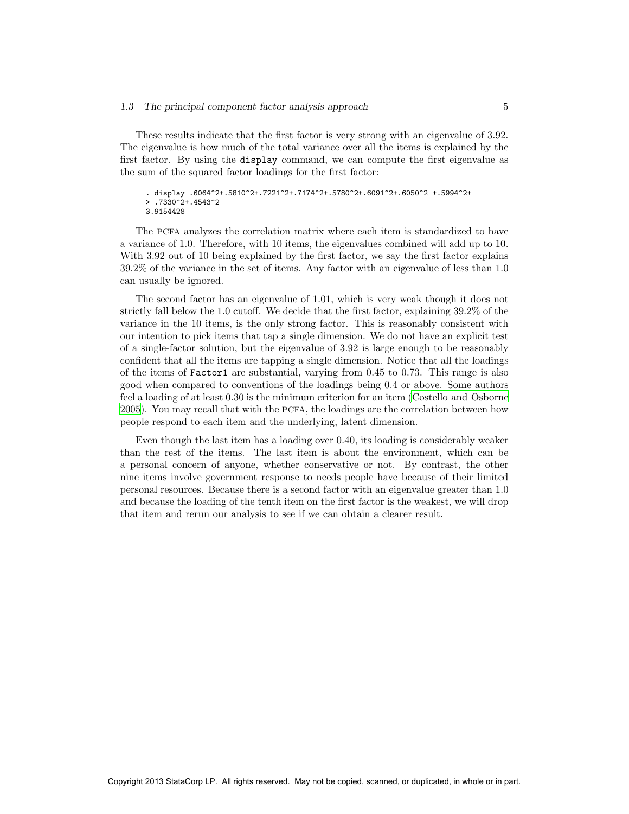These results indicate that the first factor is very strong with an eigenvalue of 3.92. The eigenvalue is how much of the total variance over all the items is explained by the first factor. By using the display command, we can compute the first eigenvalue as the sum of the squared factor loadings for the first factor:

```
. display .6064^2+.5810^2+.7221^2+.7174^2+.5780^2+.6091^2+.6050^2 +.5994^2+
> .7330^2+.4543^2
3.9154428
```
The PCFA analyzes the correlation matrix where each item is standardized to have a variance of 1.0. Therefore, with 10 items, the eigenvalues combined will add up to 10. With 3.92 out of 10 being explained by the first factor, we say the first factor explains 39.2% of the variance in the set of items. Any factor with an eigenvalue of less than 1.0 can usually be ignored.

The second factor has an eigenvalue of 1.01, which is very weak though it does not strictly fall below the 1.0 cutoff. We decide that the first factor, explaining 39.2% of the variance in the 10 items, is the only strong factor. This is reasonably consistent with our intention to pick items that tap a single dimension. We do not have an explicit test of a single-factor solution, but the eigenvalue of 3.92 is large enough to be reasonably confident that all the items are tapping a single dimension. Notice that all the loadings of the items of Factor1 are substantial, varying from 0.45 to 0.73. This range is also good when compared to conventions of the loadings being 0.4 or above. Some authors feel a loading of at least 0.30 is the minimum criterion for an item (Costello and Osborne 2005). You may recall that with the PCFA, the loadings are the correlation between how people respond to each item and the underlying, latent dimension.

Even though the last item has a loading over 0.40, its loading is considerably weaker than the rest of the items. The last item is about the environment, which can be a personal concern of anyone, whether conservative or not. By contrast, the other nine items involve government response to needs people have because of their limited personal resources. Because there is a second factor with an eigenvalue greater than 1.0 and because the loading of the tenth item on the first factor is the weakest, we will drop that item and rerun our analysis to see if we can obtain a clearer result.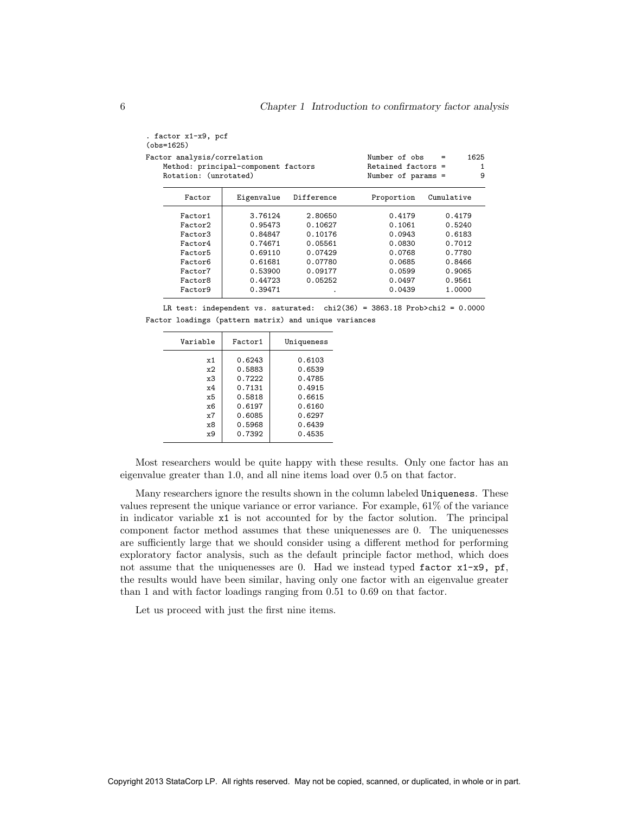| $(obs=1625)$                                         |                                     |            |                                                                    |            |  |  |  |
|------------------------------------------------------|-------------------------------------|------------|--------------------------------------------------------------------|------------|--|--|--|
| Factor analysis/correlation<br>Rotation: (unrotated) | Method: principal-component factors |            | Number of obs<br>$=$<br>$Retained factors =$<br>Number of params = |            |  |  |  |
| Factor                                               | Eigenvalue                          | Difference | Proportion                                                         | Cumulative |  |  |  |
| Factor1                                              | 3.76124                             | 2.80650    | 0.4179                                                             | 0.4179     |  |  |  |
| Factor2                                              | 0.95473                             | 0.10627    | 0.1061                                                             | 0.5240     |  |  |  |
| Factor3                                              | 0.84847                             | 0.10176    | 0.0943                                                             | 0.6183     |  |  |  |
| Factor4                                              | 0.74671                             | 0.05561    | 0.0830                                                             | 0.7012     |  |  |  |
| Factor5                                              | 0.69110                             | 0.07429    | 0.0768                                                             | 0.7780     |  |  |  |
| Factor6                                              | 0.61681                             | 0.07780    | 0.0685                                                             | 0.8466     |  |  |  |
| Factor7                                              | 0.53900                             | 0.09177    | 0.0599                                                             | 0.9065     |  |  |  |
| Factor8                                              | 0.44723                             | 0.05252    | 0.0497                                                             | 0.9561     |  |  |  |
| Factor9                                              | 0.39471                             | ٠          | 0.0439                                                             | 1,0000     |  |  |  |

LR test: independent vs. saturated:  $chi(36) = 3863.18$  Prob>chi2 = 0.0000 Factor loadings (pattern matrix) and unique variances

| Variable                                     | Factor1                                                                      | Uniqueness                                                                   |  |  |
|----------------------------------------------|------------------------------------------------------------------------------|------------------------------------------------------------------------------|--|--|
| x1<br>x2<br>x3<br>x4<br>x5<br>x6<br>x7<br>x8 | 0.6243<br>0.5883<br>0.7222<br>0.7131<br>0.5818<br>0.6197<br>0.6085<br>0.5968 | 0.6103<br>0.6539<br>0.4785<br>0.4915<br>0.6615<br>0.6160<br>0.6297<br>0.6439 |  |  |
| x9                                           | 0.7392                                                                       | 0.4535                                                                       |  |  |

Most researchers would be quite happy with these results. Only one factor has an eigenvalue greater than 1.0, and all nine items load over 0.5 on that factor.

Many researchers ignore the results shown in the column labeled Uniqueness. These values represent the unique variance or error variance. For example, 61% of the variance in indicator variable x1 is not accounted for by the factor solution. The principal component factor method assumes that these uniquenesses are 0. The uniquenesses are sufficiently large that we should consider using a different method for performing exploratory factor analysis, such as the default principle factor method, which does not assume that the uniquenesses are 0. Had we instead typed factor  $x1-x9$ , pf, the results would have been similar, having only one factor with an eigenvalue greater than 1 and with factor loadings ranging from 0.51 to 0.69 on that factor.

Let us proceed with just the first nine items.

. factor x1-x9, pcf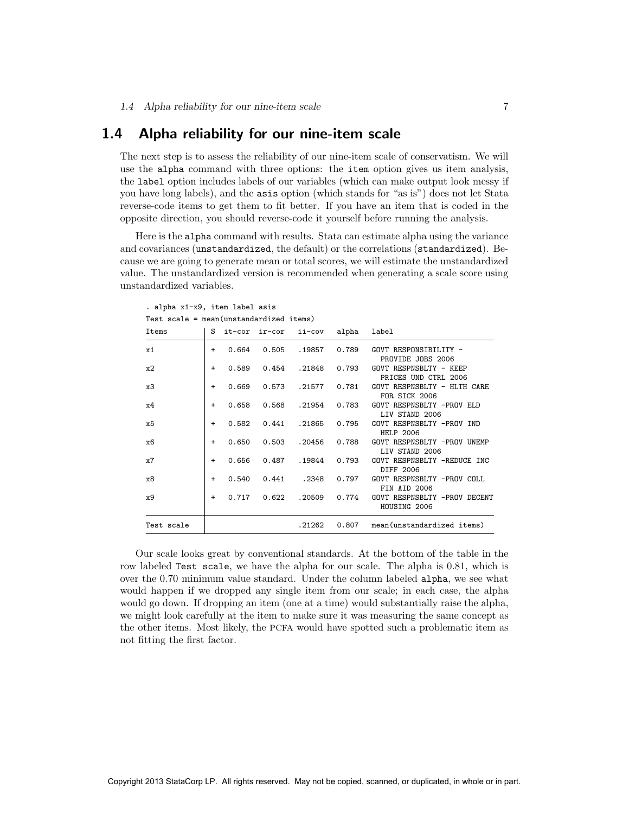### 1.4 Alpha reliability for our nine-item scale

The next step is to assess the reliability of our nine-item scale of conservatism. We will use the alpha command with three options: the item option gives us item analysis, the label option includes labels of our variables (which can make output look messy if you have long labels), and the asis option (which stands for "as is") does not let Stata reverse-code items to get them to fit better. If you have an item that is coded in the opposite direction, you should reverse-code it yourself before running the analysis.

Here is the alpha command with results. Stata can estimate alpha using the variance and covariances (unstandardized, the default) or the correlations (standardized). Because we are going to generate mean or total scores, we will estimate the unstandardized value. The unstandardized version is recommended when generating a scale score using unstandardized variables.

. alpha x1-x9, item label asis Test scale = mean(unstandardized items)

| iest stale – mean (unstandardized fiems) |           |        |        |        |       |                                                     |  |  |
|------------------------------------------|-----------|--------|--------|--------|-------|-----------------------------------------------------|--|--|
| Items                                    | S         | it-cor | ir-cor | ii-cov | alpha | label                                               |  |  |
| x1                                       | $\ddot{}$ | 0.664  | 0.505  | .19857 | 0.789 | GOVT RESPONSIBILITY -<br>PROVIDE JOBS 2006          |  |  |
| x2                                       | $\ddot{}$ | 0.589  | 0.454  | .21848 | 0.793 | GOVT RESPNSBLTY - KEEP<br>PRICES UND CTRL 2006      |  |  |
| x3                                       | $\ddot{}$ | 0.669  | 0.573  | .21577 | 0.781 | GOVT RESPNSBLTY - HLTH CARE<br><b>FOR SICK 2006</b> |  |  |
| x4                                       | $\ddot{}$ | 0.658  | 0.568  | .21954 | 0.783 | GOVT RESPNSBLTY -PROV ELD<br>LIV STAND 2006         |  |  |
| x5                                       | ÷         | 0.582  | 0.441  | .21865 | 0.795 | GOVT RESPNSBLTY -PROV IND<br><b>HELP 2006</b>       |  |  |
| x6                                       | $\ddot{}$ | 0.650  | 0.503  | .20456 | 0.788 | GOVT RESPNSBLTY -PROV UNEMP<br>LIV STAND 2006       |  |  |
| x7                                       | $\ddot{}$ | 0.656  | 0.487  | .19844 | 0.793 | GOVT RESPNSBLTY -REDUCE INC<br>DIFF 2006            |  |  |
| x8                                       | $\div$    | 0.540  | 0.441  | .2348  | 0.797 | GOVT RESPNSBLTY -PROV COLL<br><b>FIN AID 2006</b>   |  |  |
| x9                                       | ÷         | 0.717  | 0.622  | .20509 | 0.774 | GOVT RESPNSBLTY -PROV DECENT<br>HOUSING 2006        |  |  |
| Test scale                               |           |        |        | .21262 | 0.807 | mean(unstandardized items)                          |  |  |

Our scale looks great by conventional standards. At the bottom of the table in the row labeled Test scale, we have the alpha for our scale. The alpha is 0.81, which is over the 0.70 minimum value standard. Under the column labeled alpha, we see what would happen if we dropped any single item from our scale; in each case, the alpha would go down. If dropping an item (one at a time) would substantially raise the alpha, we might look carefully at the item to make sure it was measuring the same concept as the other items. Most likely, the PCFA would have spotted such a problematic item as not fitting the first factor.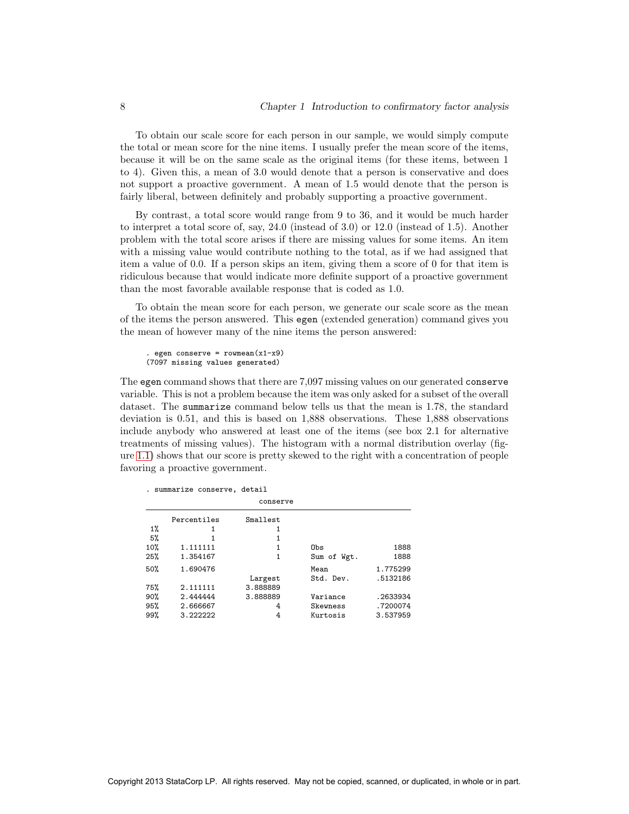To obtain our scale score for each person in our sample, we would simply compute the total or mean score for the nine items. I usually prefer the mean score of the items, because it will be on the same scale as the original items (for these items, between 1 to 4). Given this, a mean of 3.0 would denote that a person is conservative and does not support a proactive government. A mean of 1.5 would denote that the person is fairly liberal, between definitely and probably supporting a proactive government.

By contrast, a total score would range from 9 to 36, and it would be much harder to interpret a total score of, say, 24.0 (instead of 3.0) or 12.0 (instead of 1.5). Another problem with the total score arises if there are missing values for some items. An item with a missing value would contribute nothing to the total, as if we had assigned that item a value of 0.0. If a person skips an item, giving them a score of 0 for that item is ridiculous because that would indicate more definite support of a proactive government than the most favorable available response that is coded as 1.0.

To obtain the mean score for each person, we generate our scale score as the mean of the items the person answered. This egen (extended generation) command gives you the mean of however many of the nine items the person answered:

```
egen conserve = rownean(x1-x9)(7097 missing values generated)
```
The egen command shows that there are 7,097 missing values on our generated conserve variable. This is not a problem because the item was only asked for a subset of the overall dataset. The summarize command below tells us that the mean is 1.78, the standard deviation is 0.51, and this is based on 1,888 observations. These 1,888 observations include anybody who answered at least one of the items (see box 2.1 for alternative treatments of missing values). The histogram with a normal distribution overlay (figure 1.1) shows that our score is pretty skewed to the right with a concentration of people favoring a proactive government.

| conserve |             |          |             |          |  |
|----------|-------------|----------|-------------|----------|--|
|          | Percentiles | Smallest |             |          |  |
| 1%       | 1           | 1        |             |          |  |
| 5%       |             | 1        |             |          |  |
| 10%      | 1.111111    | 1        | Obs         | 1888     |  |
| 25%      | 1.354167    | 1        | Sum of Wgt. | 1888     |  |
| 50%      | 1.690476    |          | Mean        | 1.775299 |  |
|          |             | Largest  | Std. Dev.   | .5132186 |  |
| 75%      | 2.111111    | 3.888889 |             |          |  |
| 90%      | 2.444444    | 3.888889 | Variance    | .2633934 |  |
| 95%      | 2.666667    | 4        | Skewness    | .7200074 |  |
| 99%      | 3.222222    | 4        | Kurtosis    | 3.537959 |  |

. summarize conserve, detail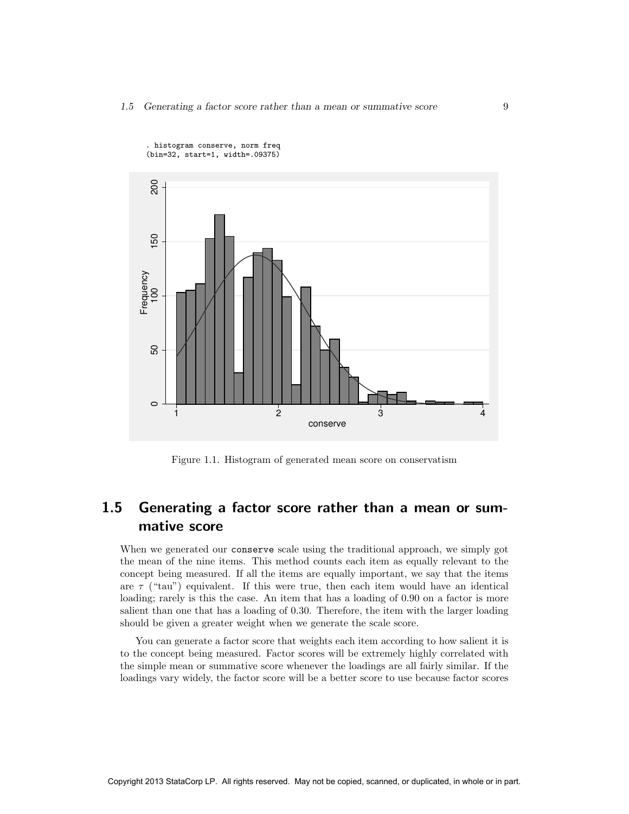#### 1.5 Generating a factor score rather than a mean or summative score 9



. histogram conserve, norm freq (bin=32, start=1, width=.09375)

Figure 1.1. Histogram of generated mean score on conservatism

### 1.5 Generating a factor score rather than a mean or summative score

When we generated our conserve scale using the traditional approach, we simply got the mean of the nine items. This method counts each item as equally relevant to the concept being measured. If all the items are equally important, we say that the items are  $\tau$  ("tau") equivalent. If this were true, then each item would have an identical loading; rarely is this the case. An item that has a loading of 0.90 on a factor is more salient than one that has a loading of 0.30. Therefore, the item with the larger loading should be given a greater weight when we generate the scale score.

You can generate a factor score that weights each item according to how salient it is to the concept being measured. Factor scores will be extremely highly correlated with the simple mean or summative score whenever the loadings are all fairly similar. If the loadings vary widely, the factor score will be a better score to use because factor scores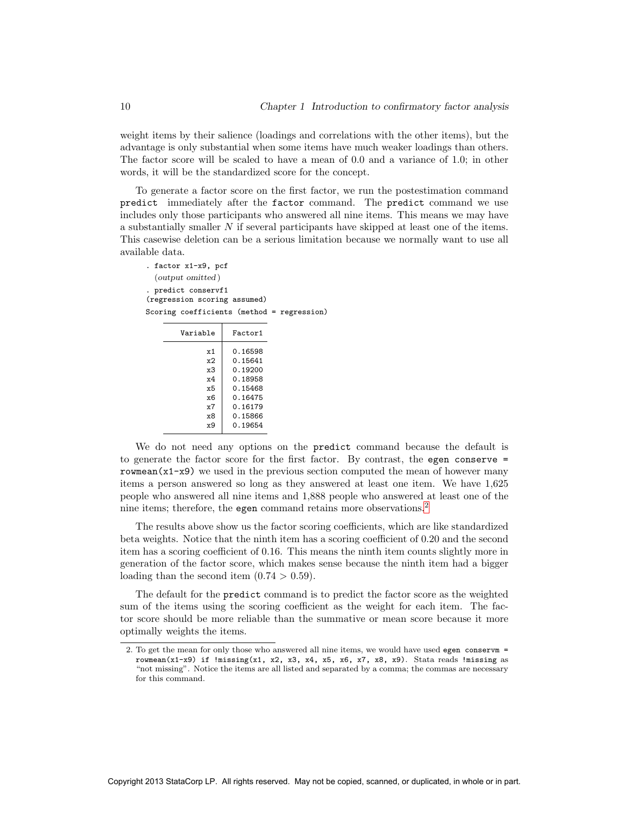weight items by their salience (loadings and correlations with the other items), but the advantage is only substantial when some items have much weaker loadings than others. The factor score will be scaled to have a mean of 0.0 and a variance of 1.0; in other words, it will be the standardized score for the concept.

To generate a factor score on the first factor, we run the postestimation command predict immediately after the factor command. The predict command we use includes only those participants who answered all nine items. This means we may have a substantially smaller N if several participants have skipped at least one of the items. This casewise deletion can be a serious limitation because we normally want to use all available data.

| . factor x1-x9, pcf                        |
|--------------------------------------------|
| ( <i>output omitted</i> )                  |
| . predict conservf1                        |
| (regression scoring assumed)               |
| Scoring coefficients (method = regression) |

| Variable                                            | Factor1                                                                                         |  |
|-----------------------------------------------------|-------------------------------------------------------------------------------------------------|--|
| x 1<br>x2<br>xЗ<br>x4<br>x5<br>x6<br>x7<br>x8<br>ж9 | 0.16598<br>0.15641<br>0.19200<br>0.18958<br>0.15468<br>0.16475<br>0.16179<br>0.15866<br>0.19654 |  |
|                                                     |                                                                                                 |  |

We do not need any options on the predict command because the default is to generate the factor score for the first factor. By contrast, the egen conserve = rowmean( $x1-x9$ ) we used in the previous section computed the mean of however many items a person answered so long as they answered at least one item. We have 1,625 people who answered all nine items and 1,888 people who answered at least one of the nine items; therefore, the egen command retains more observations.<sup>2</sup>

The results above show us the factor scoring coefficients, which are like standardized beta weights. Notice that the ninth item has a scoring coefficient of 0.20 and the second item has a scoring coefficient of 0.16. This means the ninth item counts slightly more in generation of the factor score, which makes sense because the ninth item had a bigger loading than the second item  $(0.74 > 0.59)$ .

The default for the predict command is to predict the factor score as the weighted sum of the items using the scoring coefficient as the weight for each item. The factor score should be more reliable than the summative or mean score because it more optimally weights the items.

<sup>2.</sup> To get the mean for only those who answered all nine items, we would have used egen conservm = rowmean(x1-x9) if !missing(x1, x2, x3, x4, x5, x6, x7, x8, x9). Stata reads !missing as "not missing". Notice the items are all listed and separated by a comma; the commas are necessary for this command.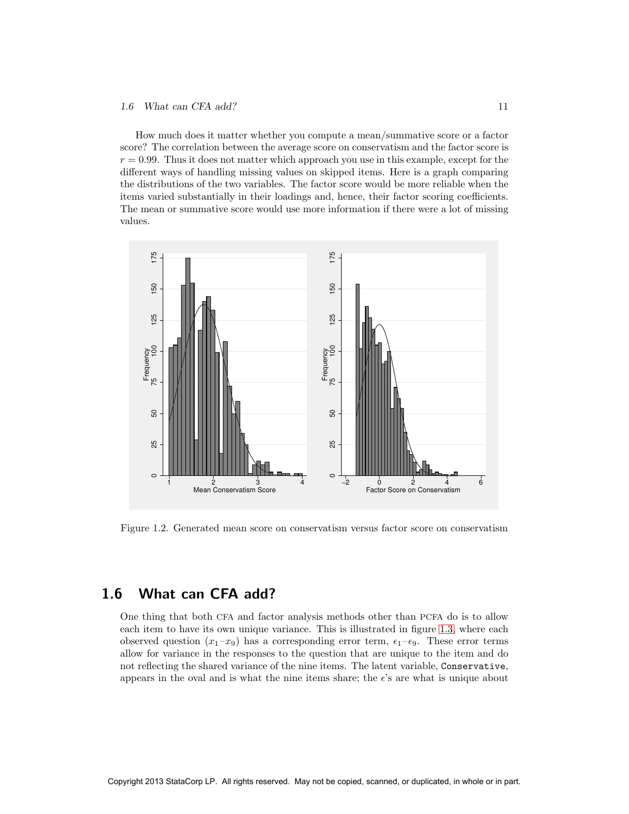### 1.6 What can CFA add? 11

How much does it matter whether you compute a mean/summative score or a factor score? The correlation between the average score on conservatism and the factor score is  $r = 0.99$ . Thus it does not matter which approach you use in this example, except for the different ways of handling missing values on skipped items. Here is a graph comparing the distributions of the two variables. The factor score would be more reliable when the items varied substantially in their loadings and, hence, their factor scoring coefficients. The mean or summative score would use more information if there were a lot of missing values.



Figure 1.2. Generated mean score on conservatism versus factor score on conservatism

### 1.6 What can CFA add?

One thing that both CFA and factor analysis methods other than PCFA do is to allow each item to have its own unique variance. This is illustrated in figure 1.3, where each observed question  $(x_1-x_9)$  has a corresponding error term,  $\epsilon_1-\epsilon_9$ . These error terms allow for variance in the responses to the question that are unique to the item and do not reflecting the shared variance of the nine items. The latent variable, Conservative, appears in the oval and is what the nine items share; the  $\epsilon$ 's are what is unique about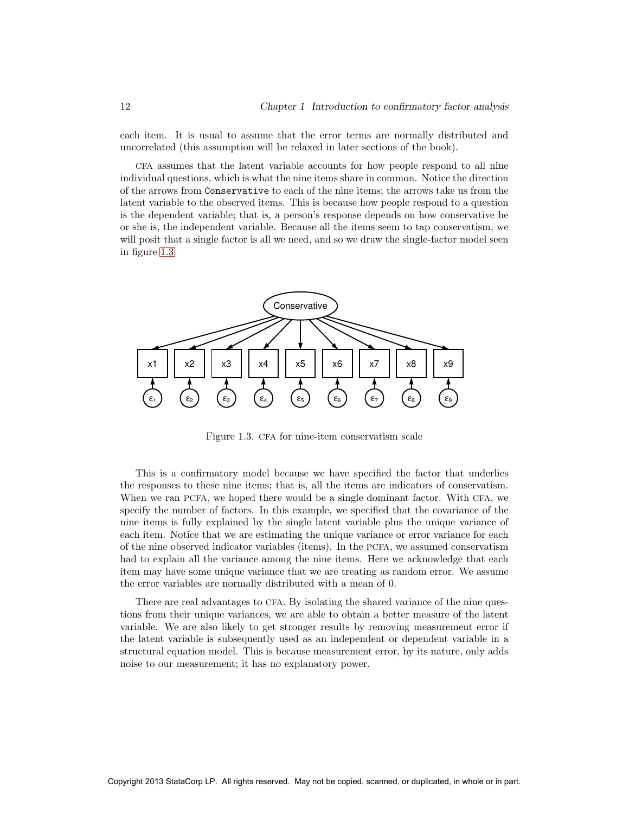each item. It is usual to assume that the error terms are normally distributed and uncorrelated (this assumption will be relaxed in later sections of the book).

CFA assumes that the latent variable accounts for how people respond to all nine individual questions, which is what the nine items share in common. Notice the direction of the arrows from Conservative to each of the nine items; the arrows take us from the latent variable to the observed items. This is because how people respond to a question is the dependent variable; that is, a person's response depends on how conservative he or she is, the independent variable. Because all the items seem to tap conservatism, we will posit that a single factor is all we need, and so we draw the single-factor model seen in figure 1.3.



Figure 1.3. CFA for nine-item conservatism scale

This is a confirmatory model because we have specified the factor that underlies the responses to these nine items; that is, all the items are indicators of conservatism. When we ran PCFA, we hoped there would be a single dominant factor. With CFA, we specify the number of factors. In this example, we specified that the covariance of the nine items is fully explained by the single latent variable plus the unique variance of each item. Notice that we are estimating the unique variance or error variance for each of the nine observed indicator variables (items). In the PCFA, we assumed conservatism had to explain all the variance among the nine items. Here we acknowledge that each item may have some unique variance that we are treating as random error. We assume the error variables are normally distributed with a mean of 0.

There are real advantages to CFA. By isolating the shared variance of the nine questions from their unique variances, we are able to obtain a better measure of the latent variable. We are also likely to get stronger results by removing measurement error if the latent variable is subsequently used as an independent or dependent variable in a structural equation model. This is because measurement error, by its nature, only adds noise to our measurement; it has no explanatory power.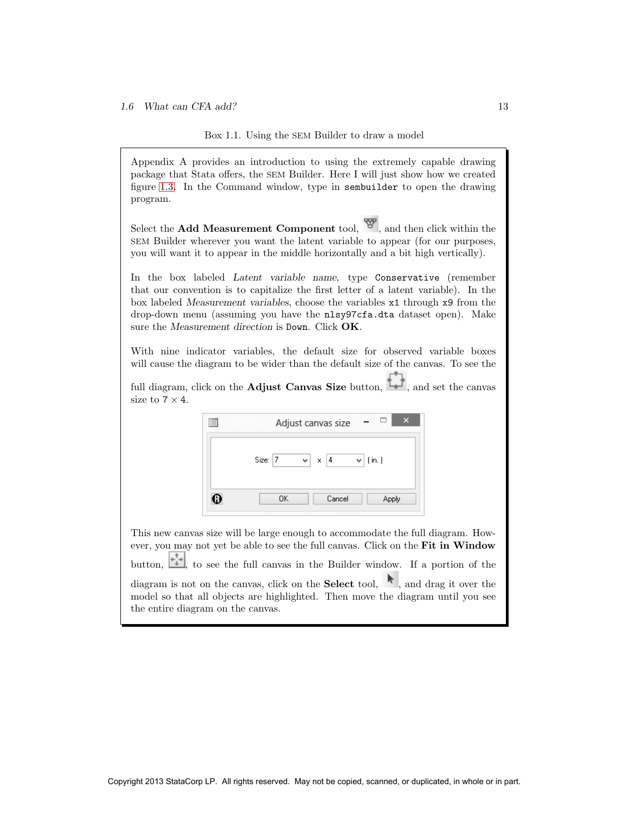Appendix A provides an introduction to using the extremely capable drawing package that Stata offers, the SEM Builder. Here I will just show how we created figure 1.3. In the Command window, type in sembuilder to open the drawing program.

Select the **Add Measurement Component** tool,  $\mathbb{S}^n$ , and then click within the SEM Builder wherever you want the latent variable to appear (for our purposes, you will want it to appear in the middle horizontally and a bit high vertically).

In the box labeled Latent variable name, type Conservative (remember that our convention is to capitalize the first letter of a latent variable). In the box labeled Measurement variables, choose the variables x1 through x9 from the drop-down menu (assuming you have the nlsy97cfa.dta dataset open). Make sure the Measurement direction is Down. Click OK.

With nine indicator variables, the default size for observed variable boxes will cause the diagram to be wider than the default size of the canvas. To see the

full diagram, click on the **Adjust Canvas Size** button,  $\mathbb{L}\mathbb{L}$ , and set the canvas size to  $7 \times 4$ .



This new canvas size will be large enough to accommodate the full diagram. However, you may not yet be able to see the full canvas. Click on the Fit in Window button,  $\left|\frac{r_{+}^{+}}{r_{+}^{+}}\right|$ , to see the full canvas in the Builder window. If a portion of the diagram is not on the canvas, click on the **Select** tool,  $\blacksquare$ , and drag it over the model so that all objects are highlighted. Then move the diagram until you see the entire diagram on the canvas.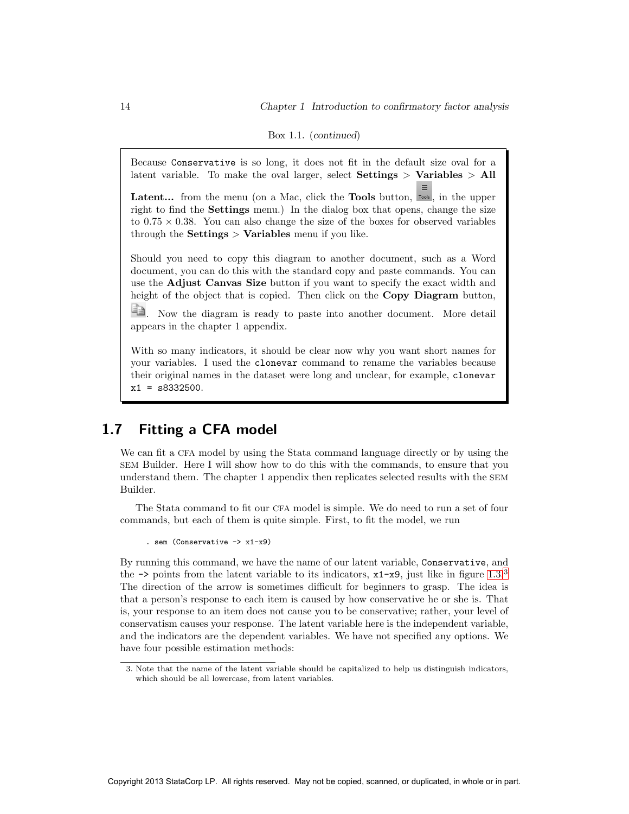Because Conservative is so long, it does not fit in the default size oval for a latent variable. To make the oval larger, select Settings > Variables > All

Latent... from the menu (on a Mac, click the Tools button,  $\frac{1}{100}$ , in the upper right to find the Settings menu.) In the dialog box that opens, change the size to  $0.75 \times 0.38$ . You can also change the size of the boxes for observed variables through the **Settings**  $>$  **Variables** menu if you like.

Should you need to copy this diagram to another document, such as a Word document, you can do this with the standard copy and paste commands. You can use the Adjust Canvas Size button if you want to specify the exact width and height of the object that is copied. Then click on the **Copy Diagram** button,

. Now the diagram is ready to paste into another document. More detail appears in the chapter 1 appendix.

With so many indicators, it should be clear now why you want short names for your variables. I used the clonevar command to rename the variables because their original names in the dataset were long and unclear, for example, clonevar x1 = s8332500.

### 1.7 Fitting a CFA model

We can fit a CFA model by using the Stata command language directly or by using the SEM Builder. Here I will show how to do this with the commands, to ensure that you understand them. The chapter 1 appendix then replicates selected results with the SEM Builder.

The Stata command to fit our CFA model is simple. We do need to run a set of four commands, but each of them is quite simple. First, to fit the model, we run

```
. sem (Conservative -> x1-x9)
```
By running this command, we have the name of our latent variable, Conservative, and the  $\rightarrow$  points from the latent variable to its indicators,  $x1-x9$ , just like in figure 1.3.<sup>3</sup> The direction of the arrow is sometimes difficult for beginners to grasp. The idea is that a person's response to each item is caused by how conservative he or she is. That is, your response to an item does not cause you to be conservative; rather, your level of conservatism causes your response. The latent variable here is the independent variable, and the indicators are the dependent variables. We have not specified any options. We have four possible estimation methods:

<sup>3.</sup> Note that the name of the latent variable should be capitalized to help us distinguish indicators, which should be all lowercase, from latent variables.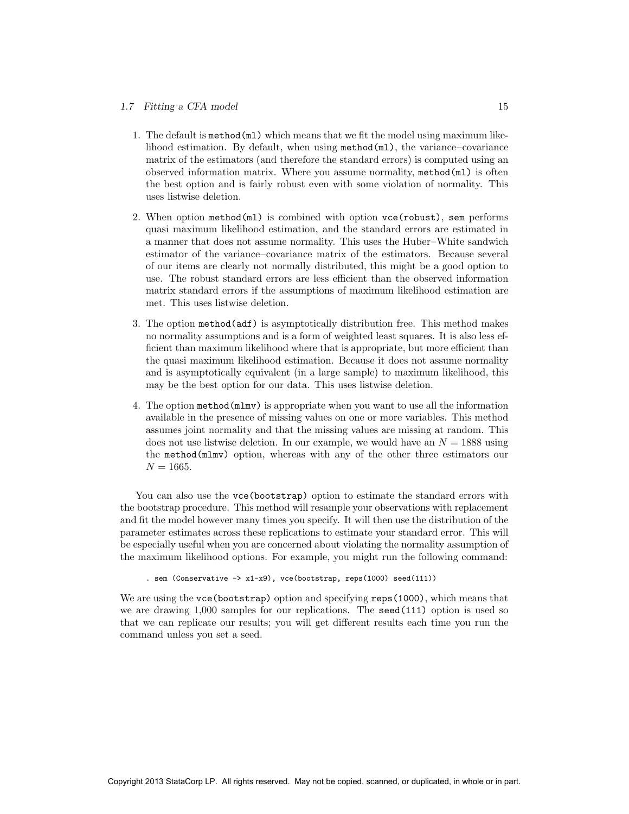### 1.7 Fitting a CFA model 15

- 1. The default is method(ml) which means that we fit the model using maximum likelihood estimation. By default, when using method(ml), the variance–covariance matrix of the estimators (and therefore the standard errors) is computed using an observed information matrix. Where you assume normality, method(ml) is often the best option and is fairly robust even with some violation of normality. This uses listwise deletion.
- 2. When option method(ml) is combined with option vce(robust), sem performs quasi maximum likelihood estimation, and the standard errors are estimated in a manner that does not assume normality. This uses the Huber–White sandwich estimator of the variance–covariance matrix of the estimators. Because several of our items are clearly not normally distributed, this might be a good option to use. The robust standard errors are less efficient than the observed information matrix standard errors if the assumptions of maximum likelihood estimation are met. This uses listwise deletion.
- 3. The option method(adf) is asymptotically distribution free. This method makes no normality assumptions and is a form of weighted least squares. It is also less efficient than maximum likelihood where that is appropriate, but more efficient than the quasi maximum likelihood estimation. Because it does not assume normality and is asymptotically equivalent (in a large sample) to maximum likelihood, this may be the best option for our data. This uses listwise deletion.
- 4. The option method(mlmv) is appropriate when you want to use all the information available in the presence of missing values on one or more variables. This method assumes joint normality and that the missing values are missing at random. This does not use listwise deletion. In our example, we would have an  $N = 1888$  using the method(mlmv) option, whereas with any of the other three estimators our  $N = 1665.$

You can also use the vce (bootstrap) option to estimate the standard errors with the bootstrap procedure. This method will resample your observations with replacement and fit the model however many times you specify. It will then use the distribution of the parameter estimates across these replications to estimate your standard error. This will be especially useful when you are concerned about violating the normality assumption of the maximum likelihood options. For example, you might run the following command:

```
. sem (Conservative -> x1-x9), vce(bootstrap, reps(1000) seed(111))
```
We are using the vce(bootstrap) option and specifying reps(1000), which means that we are drawing 1,000 samples for our replications. The seed(111) option is used so that we can replicate our results; you will get different results each time you run the command unless you set a seed.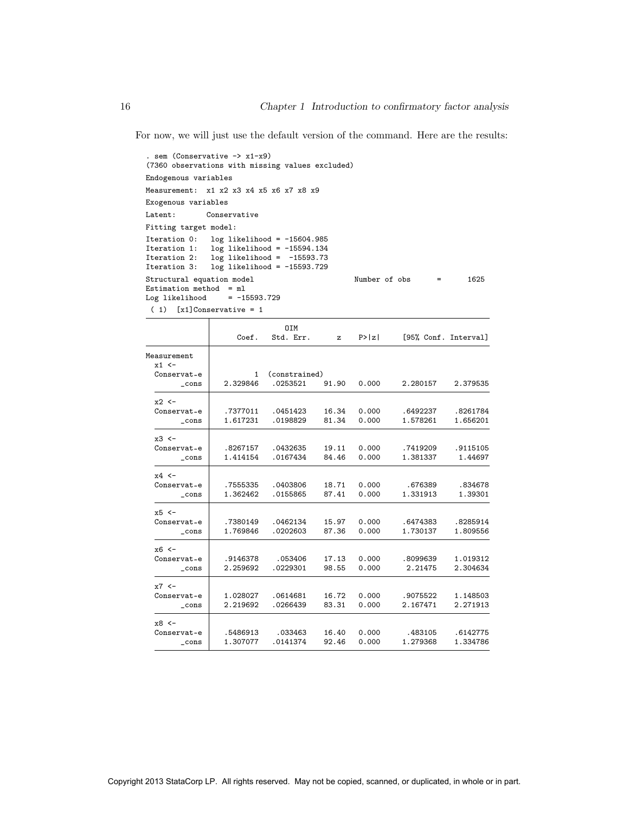For now, we will just use the default version of the command. Here are the results:

```
. sem (Conservative -> x1-x9)
(7360 observations with missing values excluded)
Endogenous variables
Measurement: x1 x2 x3 x4 x5 x6 x7 x8 x9
Exogenous variables
Latent: Conservative
Fitting target model:
Iteration 0: log likelihood = -15604.985
Iteration 1: log likelihood = -15594.134
Iteration 2: log likelihood = -15593.73
Iteration 3: log likelihood = -15593.729
Structural equation model Number of obs = 1625
Estimation method = ml<br>
Log likelihood = -15593.729Log likelihood
(1) [x1] Conservative = 1
```
 $\overline{\mathbf{r}}$ 

|                 | <b>OIM</b>   |               |              |        |          |                      |  |
|-----------------|--------------|---------------|--------------|--------|----------|----------------------|--|
|                 | Coef.        | Std. Err.     | $\mathbf{z}$ | P >  z |          | [95% Conf. Interval] |  |
| Measurement     |              |               |              |        |          |                      |  |
| $x1 \leftarrow$ |              |               |              |        |          |                      |  |
| Conservat-e     | $\mathbf{1}$ | (constrained) |              |        |          |                      |  |
| $\_cons$        | 2.329846     | .0253521      | 91.90        | 0.000  | 2.280157 | 2.379535             |  |
| $x2 \leq$       |              |               |              |        |          |                      |  |
| Conservat-e     | .7377011     | .0451423      | 16.34        | 0.000  | .6492237 | .8261784             |  |
| $\_cons$        | 1.617231     | .0198829      | 81.34        | 0.000  | 1.578261 | 1.656201             |  |
| $x3 \leq$       |              |               |              |        |          |                      |  |
| Conservat~e     | .8267157     | .0432635      | 19.11        | 0.000  | .7419209 | .9115105             |  |
| $\_cons$        | 1.414154     | .0167434      | 84.46        | 0.000  | 1.381337 | 1.44697              |  |
| $x4 \leftarrow$ |              |               |              |        |          |                      |  |
| Conservat-e     | .7555335     | .0403806      | 18.71        | 0.000  | .676389  | .834678              |  |
| $\_cons$        | 1.362462     | .0155865      | 87.41        | 0.000  | 1.331913 | 1.39301              |  |
| $x5 < -$        |              |               |              |        |          |                      |  |
| Conservat-e     | .7380149     | .0462134      | 15.97        | 0.000  | .6474383 | .8285914             |  |
| $_{\rm -cons}$  | 1.769846     | .0202603      | 87.36        | 0.000  | 1.730137 | 1.809556             |  |
| $x6 < -$        |              |               |              |        |          |                      |  |
| Conservat~e     | .9146378     | .053406       | 17.13        | 0.000  | .8099639 | 1.019312             |  |
| $\_cons$        | 2.259692     | .0229301      | 98.55        | 0.000  | 2.21475  | 2.304634             |  |
| $x7 < -$        |              |               |              |        |          |                      |  |
| Conservat-e     | 1.028027     | .0614681      | 16.72        | 0.000  | .9075522 | 1.148503             |  |
| $\_cons$        | 2.219692     | .0266439      | 83.31        | 0.000  | 2.167471 | 2.271913             |  |
| $x8 < -$        |              |               |              |        |          |                      |  |
| Conservat-e     | .5486913     | .033463       | 16.40        | 0.000  | .483105  | .6142775             |  |
| $\_cons$        | 1.307077     | .0141374      | 92.46        | 0.000  | 1.279368 | 1.334786             |  |
|                 |              |               |              |        |          |                      |  |